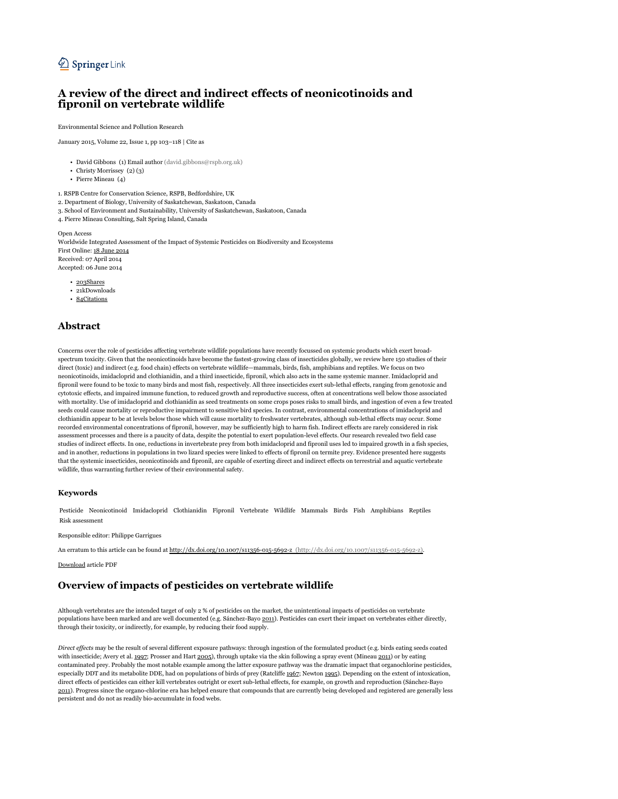# 2 Springer Link

# A review of the direct and indirect effects of neonicotinoids and fipronil on vertebrate wildlife

Environmental Science and Pollution Research

January 2015, Volume 22, Issue 1, pp 103–118 | Cite as

- David Gibbons (1) Email author (david.gibbons@rspb.org.uk)
- Christy Morrissey (2) (3)
- Pierre Mineau (4)

1. RSPB Centre for Conservation Science, RSPB, Bedfordshire, UK

2. Department of Biology, University of Saskatchewan, Saskatoon, Canada

3. School of Environment and Sustainability, University of Saskatchewan, Saskatoon, Canada

4. Pierre Mineau Consulting, Salt Spring Island, Canada

Open Access Worldwide Integrated Assessment of the Impact of Systemic Pesticides on Biodiversity and Ecosystems First Online: 18 June 2014 Received: 07 April 2014 Accepted: 06 June 2014

• 203Shares

- 21kDownloads
- 84Citations

# Abstract

Concerns over the role of pesticides affecting vertebrate wildlife populations have recently focussed on systemic products which exert broadspectrum toxicity. Given that the neonicotinoids have become the fastest-growing class of insecticides globally, we review here 150 studies of their direct (toxic) and indirect (e.g. food chain) effects on vertebrate wildlife—mammals, birds, fish, amphibians and reptiles. We focus on two neonicotinoids, imidacloprid and clothianidin, and a third insecticide, fipronil, which also acts in the same systemic manner. Imidacloprid and fipronil were found to be toxic to many birds and most fish, respectively. All three insecticides exert sub-lethal effects, ranging from genotoxic and cytotoxic effects, and impaired immune function, to reduced growth and reproductive success, often at concentrations well below those associated with mortality. Use of imidacloprid and clothianidin as seed treatments on some crops poses risks to small birds, and ingestion of even a few treated seeds could cause mortality or reproductive impairment to sensitive bird species. In contrast, environmental concentrations of imidacloprid and clothianidin appear to be at levels below those which will cause mortality to freshwater vertebrates, although sub-lethal effects may occur. Some recorded environmental concentrations of fipronil, however, may be sufficiently high to harm fish. Indirect effects are rarely considered in risk assessment processes and there is a paucity of data, despite the potential to exert population-level effects. Our research revealed two field case studies of indirect effects. In one, reductions in invertebrate prey from both imidacloprid and fipronil uses led to impaired growth in a fish species, and in another, reductions in populations in two lizard species were linked to effects of fipronil on termite prey. Evidence presented here suggests that the systemic insecticides, neonicotinoids and fipronil, are capable of exerting direct and indirect effects on terrestrial and aquatic vertebrate wildlife, thus warranting further review of their environmental safety.

## Keywords

Pesticide Neonicotinoid Imidacloprid Clothianidin Fipronil Vertebrate Wildlife Mammals Birds Fish Amphibians Reptiles Risk assessment

Responsible editor: Philippe Garrigues

An erratum to this article can be found at http://dx.doi.org/10.1007/s11356-015-5692-z (http://dx.doi.org/10.1007/s11356-015-5692-z).

Download article PDF

# Overview of impacts of pesticides on vertebrate wildlife

Although vertebrates are the intended target of only 2 % of pesticides on the market, the unintentional impacts of pesticides on vertebrate populations have been marked and are well documented (e.g. Sánchez-Bayo 2011). Pesticides can exert their impact on vertebrates either directly, through their toxicity, or indirectly, for example, by reducing their food supply.

Direct effects may be the result of several different exposure pathways: through ingestion of the formulated product (e.g. birds eating seeds coated with insecticide; Avery et al. 1997; Prosser and Hart 2005), through uptake via the skin following a spray event (Mineau 2011) or by eating contaminated prey. Probably the most notable example among the latter exposure pathway was the dramatic impact that organochlorine pesticides, especially DDT and its metabolite DDE, had on populations of birds of prey (Ratcliffe 1967; Newton 1995). Depending on the extent of intoxication, direct effects of pesticides can either kill vertebrates outright or exert sub-lethal effects, for example, on growth and reproduction (Sánchez-Bayo 2011). Progress since the organo-chlorine era has helped ensure that compounds that are currently being developed and registered are generally less persistent and do not as readily bio-accumulate in food webs.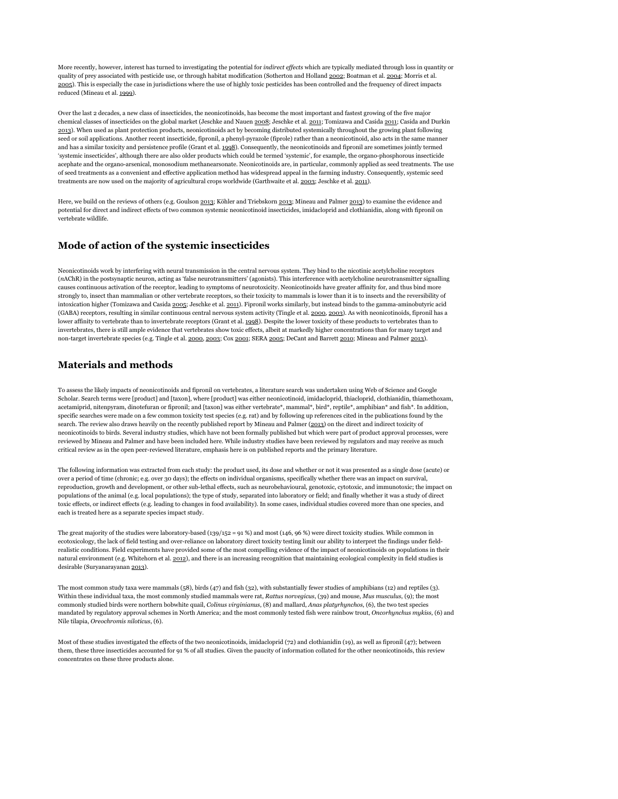More recently, however, interest has turned to investigating the potential for indirect effects which are typically mediated through loss in quantity or quality of prey associated with pesticide use, or through habitat modification (Sotherton and Holland 2002; Boatman et al. 2004; Morris et al. 2005). This is especially the case in jurisdictions where the use of highly toxic pesticides has been controlled and the frequency of direct impacts reduced (Mineau et al. 1999).

Over the last 2 decades, a new class of insecticides, the neonicotinoids, has become the most important and fastest growing of the five major chemical classes of insecticides on the global market (Jeschke and Nauen 2008; Jeschke et al. 2011; Tomizawa and Casida 2011; Casida and Durkin 2013). When used as plant protection products, neonicotinoids act by becoming distributed systemically throughout the growing plant following seed or soil applications. Another recent insecticide, fipronil, a phenyl-pyrazole (fiprole) rather than a neonicotinoid, also acts in the same manner and has a similar toxicity and persistence profile (Grant et al. 1998). Consequently, the neonicotinoids and fipronil are sometimes jointly termed 'systemic insecticides', although there are also older products which could be termed 'systemic', for example, the organo-phosphorous insecticide acephate and the organo-arsenical, monosodium methanearsonate. Neonicotinoids are, in particular, commonly applied as seed treatments. The use of seed treatments as a convenient and effective application method has widespread appeal in the farming industry. Consequently, systemic seed treatments are now used on the majority of agricultural crops worldwide (Garthwaite et al. 2003; Jeschke et al. 2011).

Here, we build on the reviews of others (e.g. Goulson 2013; Köhler and Triebskorn 2013; Mineau and Palmer 2013) to examine the evidence and potential for direct and indirect effects of two common systemic neonicotinoid insecticides, imidacloprid and clothianidin, along with fipronil on vertebrate wildlife.

# Mode of action of the systemic insecticides

Neonicotinoids work by interfering with neural transmission in the central nervous system. They bind to the nicotinic acetylcholine receptors (nAChR) in the postsynaptic neuron, acting as 'false neurotransmitters' (agonists). This interference with acetylcholine neurotransmitter signalling causes continuous activation of the receptor, leading to symptoms of neurotoxicity. Neonicotinoids have greater affinity for, and thus bind more strongly to, insect than mammalian or other vertebrate receptors, so their toxicity to mammals is lower than it is to insects and the reversibility of intoxication higher (Tomizawa and Casida 2005; Jeschke et al. 2011). Fipronil works similarly, but instead binds to the gamma-aminobutyric acid (GABA) receptors, resulting in similar continuous central nervous system activity (Tingle et al. 2000, 2003). As with neonicotinoids, fipronil has a lower affinity to vertebrate than to invertebrate receptors (Grant et al. 1998). Despite the lower toxicity of these products to vertebrates than to invertebrates, there is still ample evidence that vertebrates show toxic effects, albeit at markedly higher concentrations than for many target and non-target invertebrate species (e.g. Tingle et al. 2000, 2003; Cox 2001; SERA 2005; DeCant and Barrett 2010; Mineau and Palmer 2013).

# Materials and methods

To assess the likely impacts of neonicotinoids and fipronil on vertebrates, a literature search was undertaken using Web of Science and Google Scholar. Search terms were [product] and [taxon], where [product] was either neonicotinoid, imidacloprid, thiacloprid, clothianidin, thiamethoxam, acetamiprid, nitenpyram, dinotefuran or fipronil; and [taxon] was either vertebrate\*, mammal\*, bird\*, reptile\*, amphibian\* and fish\*. In addition, specific searches were made on a few common toxicity test species (e.g. rat) and by following up references cited in the publications found by the search. The review also draws heavily on the recently published report by Mineau and Palmer (2013) on the direct and indirect toxicity of neonicotinoids to birds. Several industry studies, which have not been formally published but which were part of product approval processes, were reviewed by Mineau and Palmer and have been included here. While industry studies have been reviewed by regulators and may receive as much critical review as in the open peer-reviewed literature, emphasis here is on published reports and the primary literature.

The following information was extracted from each study: the product used, its dose and whether or not it was presented as a single dose (acute) or over a period of time (chronic; e.g. over 30 days); the effects on individual organisms, specifically whether there was an impact on survival, reproduction, growth and development, or other sub-lethal effects, such as neurobehavioural, genotoxic, cytotoxic, and immunotoxic; the impact on populations of the animal (e.g. local populations); the type of study, separated into laboratory or field; and finally whether it was a study of direct toxic effects, or indirect effects (e.g. leading to changes in food availability). In some cases, individual studies covered more than one species, and each is treated here as a separate species impact study.

The great majority of the studies were laboratory-based (139/152 = 91 %) and most (146, 96 %) were direct toxicity studies. While common in ecotoxicology, the lack of field testing and over-reliance on laboratory direct toxicity testing limit our ability to interpret the findings under fieldrealistic conditions. Field experiments have provided some of the most compelling evidence of the impact of neonicotinoids on populations in their natural environment (e.g. Whitehorn et al. 2012), and there is an increasing recognition that maintaining ecological complexity in field studies is desirable (Suryanarayanan 2013).

The most common study taxa were mammals (58), birds (47) and fish (32), with substantially fewer studies of amphibians (12) and reptiles (3). Within these individual taxa, the most commonly studied mammals were rat, Rattus norvegicus, (39) and mouse, Mus musculus, (9); the most commonly studied birds were northern bobwhite quail, Colinus virginianus, (8) and mallard, Anas platyrhynchos, (6), the two test species mandated by regulatory approval schemes in North America; and the most commonly tested fish were rainbow trout, Oncorhynchus mykiss, (6) and Nile tilapia, Oreochromis niloticus, (6).

Most of these studies investigated the effects of the two neonicotinoids, imidacloprid (72) and clothianidin (19), as well as fipronil (47); between them, these three insecticides accounted for 91 % of all studies. Given the paucity of information collated for the other neonicotinoids, this review concentrates on these three products alone.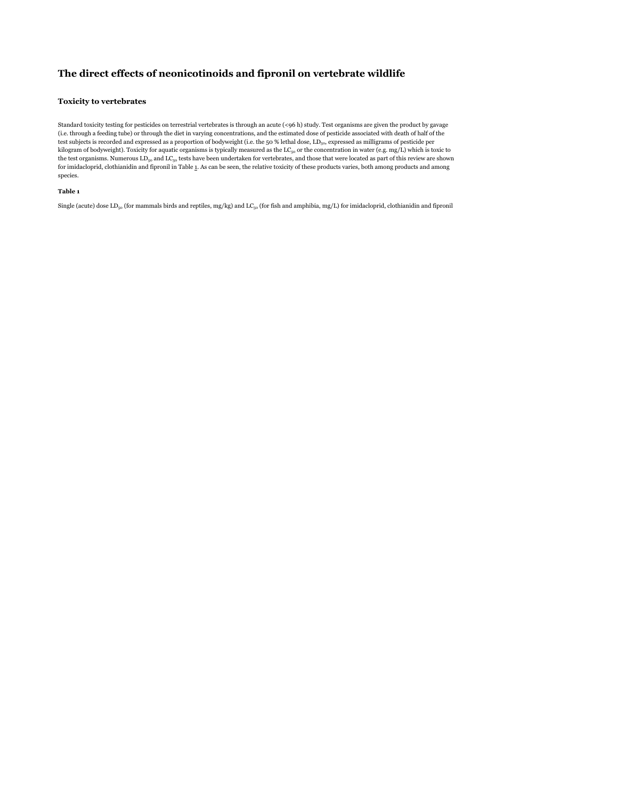# The direct effects of neonicotinoids and fipronil on vertebrate wildlife

# Toxicity to vertebrates

Standard toxicity testing for pesticides on terrestrial vertebrates is through an acute (<96 h) study. Test organisms are given the product by gavage (i.e. through a feeding tube) or through the diet in varying concentrations, and the estimated dose of pesticide associated with death of half of the test subjects is recorded and expressed as a proportion of bodyweight (i.e. the 50 % lethal dose,  $LD_{50}$ , expressed as milligrams of pesticide per kilogram of bodyweight). Toxicity for aquatic organisms is typically measured as the LC<sub>50</sub> or the concentration in water (e.g. mg/L) which is toxic to the test organisms. Numerous LD<sub>50</sub> and LC<sub>50</sub> tests have been undertaken for vertebrates, and those that were located as part of this review are shown for imidacloprid, clothianidin and fipronil in Table 1. As can be seen, the relative toxicity of these products varies, both among products and among species.

### Table 1

Single (acute) dose LD<sub>50</sub> (for mammals birds and reptiles, mg/kg) and LC<sub>50</sub> (for fish and amphibia, mg/L) for imidacloprid, clothianidin and fipronil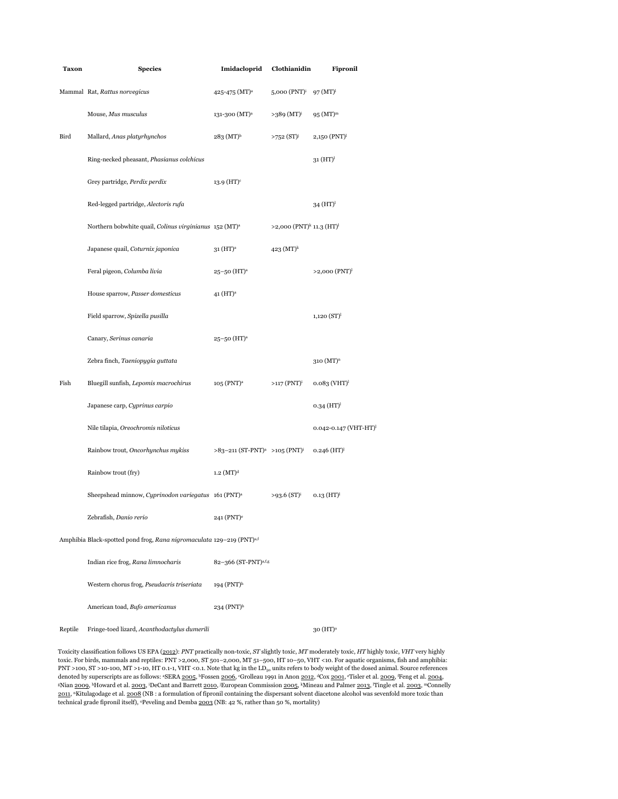| Taxon | <b>Species</b>                                                        | Imidacloprid                                              | Clothianidin                                     | Fipronil                              |
|-------|-----------------------------------------------------------------------|-----------------------------------------------------------|--------------------------------------------------|---------------------------------------|
|       | Mammal Rat, Rattus norvegicus                                         | 425-475 (MT) <sup>a</sup>                                 | $5,000$ $(PNT)^i$                                | $97 (MT)^1$                           |
|       | Mouse, Mus musculus                                                   | 131-300 (MT) <sup>a</sup>                                 | $>389 \, (MT)^i$                                 | $95 (MT)^{m}$                         |
| Bird  | Mallard, Anas platyrhynchos                                           | $283 \, (MT)^b$                                           | $>752 \, (ST)^j$                                 | $2,150$ (PNT) <sup>1</sup>            |
|       | Ring-necked pheasant, Phasianus colchicus                             |                                                           |                                                  | $31 (HT)^{1}$                         |
|       | Grey partridge, Perdix perdix                                         | $13.9$ (HT) <sup>c</sup>                                  |                                                  |                                       |
|       | Red-legged partridge, Alectoris rufa                                  |                                                           |                                                  | 34 (HT) <sup>1</sup>                  |
|       | Northern bobwhite quail, Colinus virginianus 152 (MT) <sup>a</sup>    |                                                           | >2,000 (PNT) <sup>k</sup> 11.3 (HT) <sup>l</sup> |                                       |
|       | Japanese quail, Coturnix japonica                                     | $31 \, (\text{HT})^\text{a}$                              | $423 \, (MT)^k$                                  |                                       |
|       | Feral pigeon, Columba livia                                           | $25 - 50$ (HT) <sup>a</sup>                               |                                                  | $>2,000$ (PNT) <sup>1</sup>           |
|       | House sparrow, Passer domesticus                                      | $41$ (HT) <sup>a</sup>                                    |                                                  |                                       |
|       | Field sparrow, Spizella pusilla                                       |                                                           |                                                  | $1,120 (ST)$ <sup>1</sup>             |
|       | Canary, Serinus canaria                                               | $25 - 50$ (HT) <sup>a</sup>                               |                                                  |                                       |
|       | Zebra finch, Taeniopygia guttata                                      |                                                           |                                                  | 310 (MT) <sup>n</sup>                 |
| Fish  | Bluegill sunfish, Lepomis macrochirus                                 | $105$ (PNT) <sup>a</sup>                                  | $>117$ (PNT) <sup>i</sup>                        | $0.083$ (VHT) <sup>1</sup>            |
|       | Japanese carp, Cyprinus carpio                                        |                                                           |                                                  | $0.34$ $(HT)^{1}$                     |
|       | Nile tilapia, Oreochromis niloticus                                   |                                                           |                                                  | $0.042 - 0.147$ (VHT-HT) <sup>1</sup> |
|       | Rainbow trout, Oncorhynchus mykiss                                    | $>83-211$ (ST-PNT) <sup>a</sup> $>105$ (PNT) <sup>i</sup> |                                                  | $0.246$ (HT) <sup>1</sup>             |
|       | Rainbow trout (fry)                                                   | $1.2\,\rm (MT)^d$                                         |                                                  |                                       |
|       | Sheepshead minnow, Cyprinodon variegatus 161 (PNT) <sup>a</sup>       |                                                           | $>93.6$ (ST) <sup>i</sup>                        | $0.13$ $(HT)^{1}$                     |
|       | Zebrafish, Danio rerio                                                | 241 (PNT) <sup>e</sup>                                    |                                                  |                                       |
|       | Amphibia Black-spotted pond frog, Rana nigromaculata 129-219 (PNT)a,f |                                                           |                                                  |                                       |
|       | Indian rice frog, Rana limnocharis                                    | 82-366 (ST-PNT)a,f,g                                      |                                                  |                                       |
|       | Western chorus frog, Pseudacris triseriata                            | $194$ (PNT) <sup>h</sup>                                  |                                                  |                                       |
|       | American toad, Bufo americanus                                        | $234$ (PNT) <sup>h</sup>                                  |                                                  |                                       |
|       |                                                                       |                                                           |                                                  |                                       |

Reptile Fringe-toed lizard, Acanthodactylus dumerili

 $30 (HT)$ <sup>o</sup>

Toxicity classification follows US EPA (2012): PNT practically non-toxic, ST slightly toxic, MT moderately toxic, HT highly toxic, VHT very highly toxic. For birds, mammals and reptiles: PNT >2,000, ST 501–2,000, MT 51–500, HT 10–50, VHT <10. For aquatic organisms, fish and amphibia: PNT >100, ST >10-100, MT >1-10, HT 0.1-1, VHT <0.1. Note that kg in the LD<sub>50</sub> units refers to body weight of the dosed animal. Source references denoted by superscripts are as follows: "SERA <u>2005</u>, <sup>b</sup>Fossen 2006, "Grolleau 1991 in Anon 2012, "Cox 2001, "Tisler et al. <u>2009,</u> "Feng et al. 2004, Nian <u>2009</u>, <sup>h</sup>Howard et al. <u>2003,</u> <sup>i</sup>DeCant and Barrett <u>2010,</u> iEuropean Commission 2005, <sup>k</sup>Mineau and Palmer <u>2013</u>, 'Tingle et al. <u>2003,</u> <sup>m</sup>Connelly 2011, "Kitulagodage et al. 2008 (NB : a formulation of fipronil containing the dispersant solvent diacetone alcohol was sevenfold more toxic than technical grade fipronil itself), Peveling and Demba 2003 (NB: 42 %, rather than 50 %, mortality)  $\epsilon$  Nian 2000  $\frac{h}{2}$  Howard et al. 2002  $\frac{h}{2}$  DeCant and Barrett 2010  $\frac{h}{2}$  luropean Commission 2005  $\frac{k}{2}$  Mineau and Palmer 2012  $\frac{h}{2}$  Tingle et al. 2002  $\frac{m}{2}$ nk o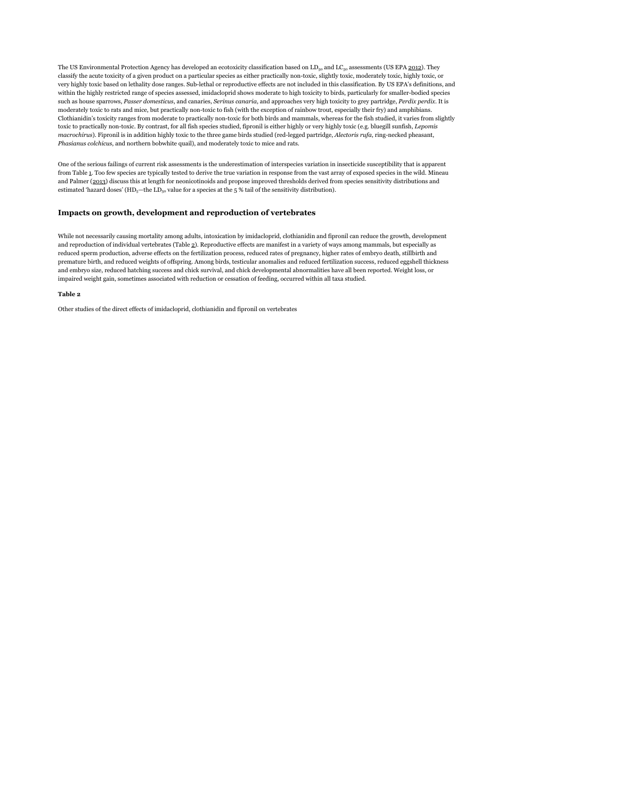The US Environmental Protection Agency has developed an ecotoxicity classification based on LD<sub>50</sub> and LC<sub>50</sub> assessments (US EPA 2012). They classify the acute toxicity of a given product on a particular species as either practically non-toxic, slightly toxic, moderately toxic, highly toxic, or very highly toxic based on lethality dose ranges. Sub-lethal or reproductive effects are not included in this classification. By US EPA's definitions, and within the highly restricted range of species assessed, imidacloprid shows moderate to high toxicity to birds, particularly for smaller-bodied species such as house sparrows, Passer domesticus, and canaries, Serinus canaria, and approaches very high toxicity to grey partridge, Perdix perdix. It is moderately toxic to rats and mice, but practically non-toxic to fish (with the exception of rainbow trout, especially their fry) and amphibians. Clothianidin's toxicity ranges from moderate to practically non-toxic for both birds and mammals, whereas for the fish studied, it varies from slightly toxic to practically non-toxic. By contrast, for all fish species studied, fipronil is either highly or very highly toxic (e.g. bluegill sunfish, Lepomis macrochirus). Fipronil is in addition highly toxic to the three game birds studied (red-legged partridge, Alectoris rufa, ring-necked pheasant, Phasianus colchicus, and northern bobwhite quail), and moderately toxic to mice and rats.

One of the serious failings of current risk assessments is the underestimation of interspecies variation in insecticide susceptibility that is apparent from Table 1. Too few species are typically tested to derive the true variation in response from the vast array of exposed species in the wild. Mineau and Palmer (2013) discuss this at length for neonicotinoids and propose improved thresholds derived from species sensitivity distributions and estimated 'hazard doses' (HD<sub>5</sub>—the LD<sub>50</sub> value for a species at the 5 % tail of the sensitivity distribution).

## Impacts on growth, development and reproduction of vertebrates

While not necessarily causing mortality among adults, intoxication by imidacloprid, clothianidin and fipronil can reduce the growth, development and reproduction of individual vertebrates (Table 2). Reproductive effects are manifest in a variety of ways among mammals, but especially as reduced sperm production, adverse effects on the fertilization process, reduced rates of pregnancy, higher rates of embryo death, stillbirth and premature birth, and reduced weights of offspring. Among birds, testicular anomalies and reduced fertilization success, reduced eggshell thickness and embryo size, reduced hatching success and chick survival, and chick developmental abnormalities have all been reported. Weight loss, or impaired weight gain, sometimes associated with reduction or cessation of feeding, occurred within all taxa studied.

### Table 2

Other studies of the direct effects of imidacloprid, clothianidin and fipronil on vertebrates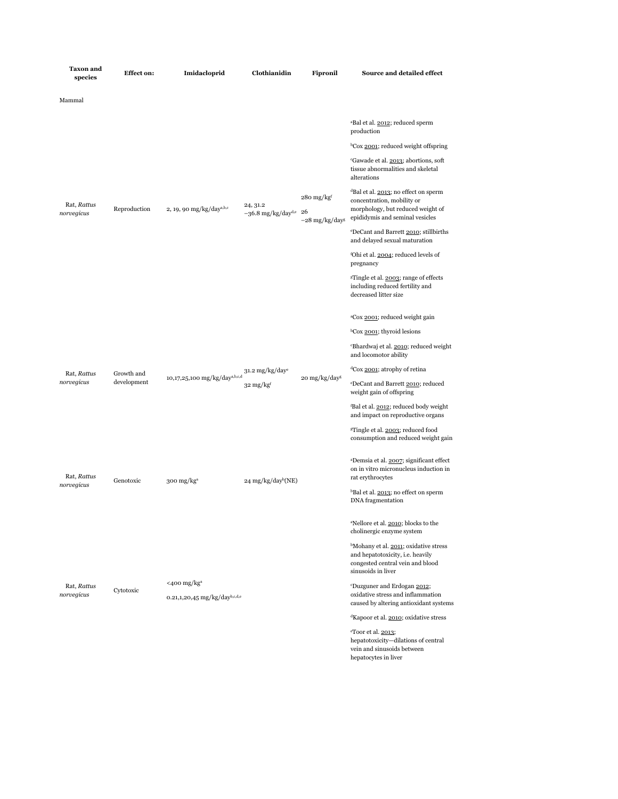| <b>Taxon</b> and<br>species | <b>Effect on:</b> | Imidacloprid                                       | Clothianidin                                 | <b>Fipronil</b>                       | Source and detailed effect                                                                                                                             |
|-----------------------------|-------------------|----------------------------------------------------|----------------------------------------------|---------------------------------------|--------------------------------------------------------------------------------------------------------------------------------------------------------|
| Mammal                      |                   |                                                    |                                              |                                       |                                                                                                                                                        |
|                             | Reproduction      | 2, 19, 90 mg/kg/daya,b,c                           | 24, 31.2<br>$-36.8$ mg/kg/day <sup>d,e</sup> | 280 mg/kgf<br>-26<br>$-28$ mg/kg/days | <sup>a</sup> Bal et al. 2012; reduced sperm<br>production                                                                                              |
|                             |                   |                                                    |                                              |                                       | <sup>b</sup> Cox 2001; reduced weight offspring                                                                                                        |
|                             |                   |                                                    |                                              |                                       | "Gawade et al. 2013; abortions, soft<br>tissue abnormalities and skeletal<br>alterations                                                               |
| Rat, Rattus<br>norvegicus   |                   |                                                    |                                              |                                       | <sup>d</sup> Bal et al. 2013; no effect on sperm<br>concentration, mobility or<br>morphology, but reduced weight of<br>epididymis and seminal vesicles |
|                             |                   |                                                    |                                              |                                       | <sup>e</sup> DeCant and Barrett 2010; stillbirths<br>and delayed sexual maturation                                                                     |
|                             |                   |                                                    |                                              |                                       | <sup>f</sup> Ohi et al. 2004; reduced levels of<br>pregnancy                                                                                           |
|                             |                   |                                                    |                                              |                                       | <sup>8</sup> Tingle et al. 2003; range of effects<br>including reduced fertility and<br>decreased litter size                                          |
|                             |                   |                                                    |                                              |                                       | <sup>a</sup> Cox 2001; reduced weight gain                                                                                                             |
|                             |                   |                                                    |                                              | 20 mg/kg/days                         | <sup>b</sup> Cox 2001; thyroid lesions                                                                                                                 |
|                             |                   |                                                    |                                              |                                       | <sup>c</sup> Bhardwaj et al. 2010; reduced weight<br>and locomotor ability                                                                             |
| Rat, Rattus                 | Growth and        |                                                    | $31.2 \text{ mg/kg/day}^{\circ}$             |                                       | <sup>d</sup> Cox 2001; atrophy of retina                                                                                                               |
| norvegicus                  | development       | 10,17,25,100 mg/kg/daya,b,c,d                      | $32 \text{ mg/kg}$                           |                                       | <sup>e</sup> DeCant and Barrett 2010; reduced<br>weight gain of offspring                                                                              |
|                             |                   |                                                    |                                              |                                       | <sup>f</sup> Bal et al. 2012; reduced body weight<br>and impact on reproductive organs                                                                 |
|                             |                   |                                                    |                                              |                                       | <sup>8</sup> Tingle et al. 2003; reduced food<br>consumption and reduced weight gain                                                                   |
| Rat, Rattus<br>norvegicus   | Genotoxic         | $300 \frac{\text{mg}}{\text{kg}^{\text{a}}}$       | $24 \text{ mg/kg/day}^b(\text{NE})$          |                                       | <sup>a</sup> Demsia et al. 2007; significant effect<br>on in vitro micronucleus induction in<br>rat erythrocytes                                       |
|                             |                   |                                                    |                                              |                                       | <sup>b</sup> Bal et al. 2013; no effect on sperm<br><b>DNA</b> fragmentation                                                                           |
|                             |                   |                                                    |                                              |                                       | <sup>a</sup> Nellore et al. 2010; blocks to the<br>cholinergic enzyme system                                                                           |
|                             | Cytotoxic         | $<$ 400 mg/ $kga$<br>0.21,1,20,45 mg/kg/dayb,c,d,e |                                              |                                       | <sup>b</sup> Mohany et al. 2011; oxidative stress<br>and hepatotoxicity, i.e. heavily<br>congested central vein and blood<br>sinusoids in liver        |
| Rat, Rattus<br>norvegicus   |                   |                                                    |                                              |                                       | <sup>c</sup> Duzguner and Erdogan 2012;<br>oxidative stress and inflammation<br>caused by altering antioxidant systems                                 |
|                             |                   |                                                    |                                              |                                       | <sup>d</sup> Kapoor et al. 2010; oxidative stress                                                                                                      |
|                             |                   |                                                    |                                              |                                       | eToor et al. 2013;<br>hepatotoxicity-dilations of central<br>vein and sinusoids between<br>hopatogrape in liver                                        |

hepatocytes in liver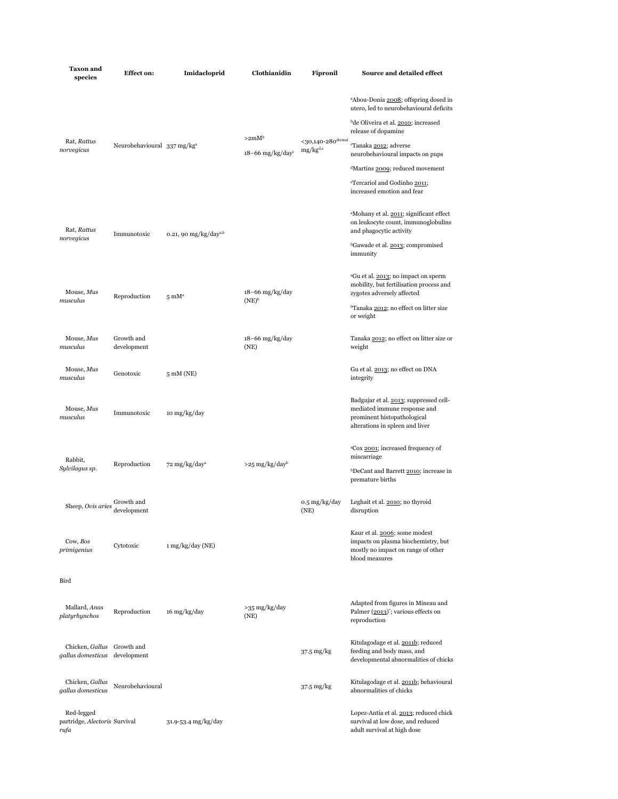| <b>Taxon</b> and<br>species                         | <b>Effect on:</b>                       | Imidacloprid                         | Clothianidin                                        | <b>Fipronil</b>                                          | Source and detailed effect                                                                                                                                                                                                                                                                                                                                              |
|-----------------------------------------------------|-----------------------------------------|--------------------------------------|-----------------------------------------------------|----------------------------------------------------------|-------------------------------------------------------------------------------------------------------------------------------------------------------------------------------------------------------------------------------------------------------------------------------------------------------------------------------------------------------------------------|
| Rat, Rattus<br>norvegicus                           | Neurobehavioural 337 mg/kg <sup>a</sup> |                                      | >2mM <sup>b</sup><br>$18-66$ mg/kg/day <sup>c</sup> | $<$ 30,140-280 <sup>dermal</sup><br>mg/kg <sup>d,e</sup> | <sup>a</sup> Abou-Donia 2008; offspring dosed in<br>utero, led to neurobehavioural deficits<br><sup>b</sup> de Oliveira et al. 2010; increased<br>release of dopamine<br><sup>c</sup> Tanaka 2012; adverse<br>neurobehavioural impacts on pups<br><sup>d</sup> Martins 2009; reduced movement<br><sup>e</sup> Tercariol and Godinho 2011;<br>increased emotion and fear |
| Rat, Rattus<br>norvegicus                           | Immunotoxic                             | 0.21, 90 mg/kg/daya,b                |                                                     |                                                          | <sup>a</sup> Mohany et al. 2011; significant effect<br>on leukocyte count, immunoglobulins<br>and phagocytic activity<br><sup>b</sup> Gawade et al. 2013; compromised<br>immunity                                                                                                                                                                                       |
| Mouse, Mus<br>musculus                              | Reproduction                            | $5 \text{ }\mathrm{mM}^{\mathrm{a}}$ | $18 - 66$ mg/kg/day<br>$(NE)^b$                     |                                                          | <sup>a</sup> Gu et al. 2013; no impact on sperm<br>mobility, but fertilisation process and<br>zygotes adversely affected<br><sup>b</sup> Tanaka 2012; no effect on litter size<br>or weight                                                                                                                                                                             |
| Mouse, Mus<br>musculus                              | Growth and<br>development               |                                      | $18 - 66$ mg/kg/day<br>(NE)                         |                                                          | Tanaka 2012; no effect on litter size or<br>weight                                                                                                                                                                                                                                                                                                                      |
| Mouse, Mus<br>musculus                              | Genotoxic                               | $5 \text{ mM}$ (NE)                  |                                                     |                                                          | Gu et al. 2013; no effect on DNA<br>integrity                                                                                                                                                                                                                                                                                                                           |
| Mouse, Mus<br>musculus                              | Immunotoxic                             | 10 mg/kg/day                         |                                                     |                                                          | Badgujar et al. 2013; suppressed cell-<br>mediated immune response and<br>prominent histopathological<br>alterations in spleen and liver                                                                                                                                                                                                                                |
| Rabbit,<br>Sylvilagus sp.                           | Reproduction                            | 72 mg/kg/day <sup>a</sup>            | $>25$ mg/kg/dayb                                    |                                                          | <sup>a</sup> Cox 2001; increased frequency of<br>miscarriage<br><sup>b</sup> DeCant and Barrett 2010; increase in<br>premature births                                                                                                                                                                                                                                   |
| Sheep, Ovis aries                                   | Growth and<br>development               |                                      |                                                     | 0.5 mg/kg/day<br>(NE)                                    | Leghait et al. 2010; no thyroid<br>disruption                                                                                                                                                                                                                                                                                                                           |
| Cow, Bos<br>primigenius                             | Cytotoxic                               | $1 \text{ mg/kg/day}$ (NE)           |                                                     |                                                          | Kaur et al. 2006; some modest<br>impacts on plasma biochemistry, but<br>mostly no impact on range of other<br>blood measures                                                                                                                                                                                                                                            |
| Bird                                                |                                         |                                      |                                                     |                                                          |                                                                                                                                                                                                                                                                                                                                                                         |
| Mallard, Anas<br>platyrhynchos                      | Reproduction                            | 16 mg/kg/day                         | $>35$ mg/kg/day<br>(NE)                             |                                                          | Adapted from figures in Mineau and<br>Palmer (2013) <sup>*</sup> ; various effects on<br>reproduction                                                                                                                                                                                                                                                                   |
| Chicken, <i>Gallus</i><br>gallus domesticus         | Growth and<br>development               |                                      |                                                     | $37.5 \text{ mg/kg}$                                     | Kitulagodage et al. 2011b; reduced<br>feeding and body mass, and<br>developmental abnormalities of chicks                                                                                                                                                                                                                                                               |
| Chicken, Gallus<br>gallus domesticus                | Neurobehavioural                        |                                      |                                                     | 37.5 mg/kg                                               | Kitulagodage et al. 2011b; behavioural<br>abnormalities of chicks                                                                                                                                                                                                                                                                                                       |
| Red-legged<br>partridge, Alectoris Survival<br>rufa |                                         | 31.9-53.4 mg/kg/day                  |                                                     |                                                          | Lopez-Antia et al. 2013; reduced chick<br>survival at low dose, and reduced<br>adult survival at high dose                                                                                                                                                                                                                                                              |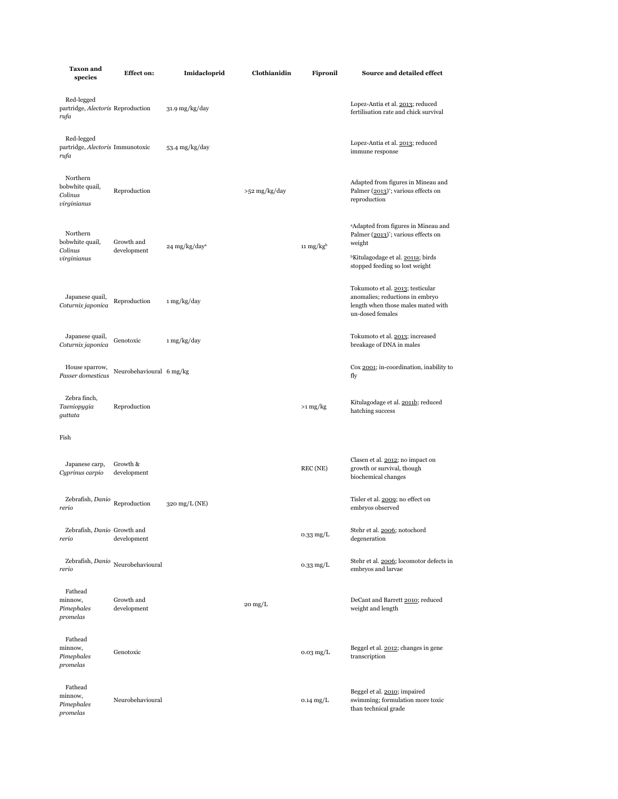| <b>Taxon</b> and<br>species                             | <b>Effect on:</b>         | Imidacloprid              | Clothianidin                    | <b>Fipronil</b>      | Source and detailed effect                                                                                                    |
|---------------------------------------------------------|---------------------------|---------------------------|---------------------------------|----------------------|-------------------------------------------------------------------------------------------------------------------------------|
| Red-legged<br>partridge, Alectoris Reproduction<br>rufa |                           | $31.9 \text{ mg/kg/day}$  |                                 |                      | Lopez-Antia et al. 2013; reduced<br>fertilisation rate and chick survival                                                     |
| Red-legged<br>partridge, Alectoris Immunotoxic<br>rufa  |                           | $53.4$ mg/kg/day          |                                 |                      | Lopez-Antia et al. 2013; reduced<br>immune response                                                                           |
| Northern<br>bobwhite quail,<br>Colinus<br>virginianus   | Reproduction              |                           | $>52$ mg/kg/day                 |                      | Adapted from figures in Mineau and<br>Palmer (2013) <sup>*</sup> ; various effects on<br>reproduction                         |
| Northern<br>bobwhite quail,<br>Colinus                  | Growth and<br>development | 24 mg/kg/day <sup>a</sup> |                                 | $11 \text{ mg/kg}^b$ | <sup>a</sup> Adapted from figures in Mineau and<br>Palmer (2013) <sup>*</sup> ; various effects on<br>weight                  |
| virginianus                                             |                           |                           |                                 |                      | <sup>b</sup> Kitulagodage et al. 2011a; birds<br>stopped feeding so lost weight                                               |
| Japanese quail,<br>Coturnix japonica                    | Reproduction              | 1 mg/kg/day               |                                 |                      | Tokumoto et al. 2013; testicular<br>anomalies; reductions in embryo<br>length when those males mated with<br>un-dosed females |
| Japanese quail,<br>Coturnix japonica                    | Genotoxic                 | 1 mg/kg/day               |                                 |                      | Tokumoto et al. 2013; increased<br>breakage of DNA in males                                                                   |
| House sparrow,<br>Passer domesticus                     | Neurobehavioural 6 mg/kg  |                           |                                 |                      | Cox 2001; in-coordination, inability to<br>fly                                                                                |
| Zebra finch,<br>Taeniopygia<br>guttata                  | Reproduction              |                           |                                 | $>1$ mg/kg           | Kitulagodage et al. 2011b; reduced<br>hatching success                                                                        |
| Fish                                                    |                           |                           |                                 |                      |                                                                                                                               |
| Japanese carp,<br>Cyprinus carpio                       | Growth &<br>development   |                           |                                 | REC (NE)             | Clasen et al. 2012; no impact on<br>growth or survival, though<br>biochemical changes                                         |
| Zebrafish, Danio<br>rerio                               | Reproduction              | 320 mg/L (NE)             |                                 |                      | Tisler et al. 2009; no effect on<br>embryos observed                                                                          |
| Zebrafish, Danio Growth and<br>rerio                    | development               |                           |                                 | $0.33$ mg/L          | Stehr et al. 2006; notochord<br>degeneration                                                                                  |
| Zebrafish, Danio<br>rerio                               | Neurobehavioural          |                           |                                 | $0.33$ mg/L          | Stehr et al. 2006; locomotor defects in<br>embryos and larvae                                                                 |
| Fathead<br>minnow,<br>Pimephales<br>promelas            | Growth and<br>development |                           | $20 \frac{\text{mg}}{\text{L}}$ |                      | DeCant and Barrett 2010; reduced<br>weight and length                                                                         |
| Fathead<br>minnow,<br>Pimephales<br>promelas            | Genotoxic                 |                           |                                 | $0.03$ mg/L          | Beggel et al. 2012; changes in gene<br>transcription                                                                          |
| Fathead<br>minnow,<br>Pimephales<br>promelas            | Neurobehavioural          |                           |                                 | $0.14$ mg/L          | Beggel et al. 2010; impaired<br>swimming; formulation more toxic<br>than technical grade                                      |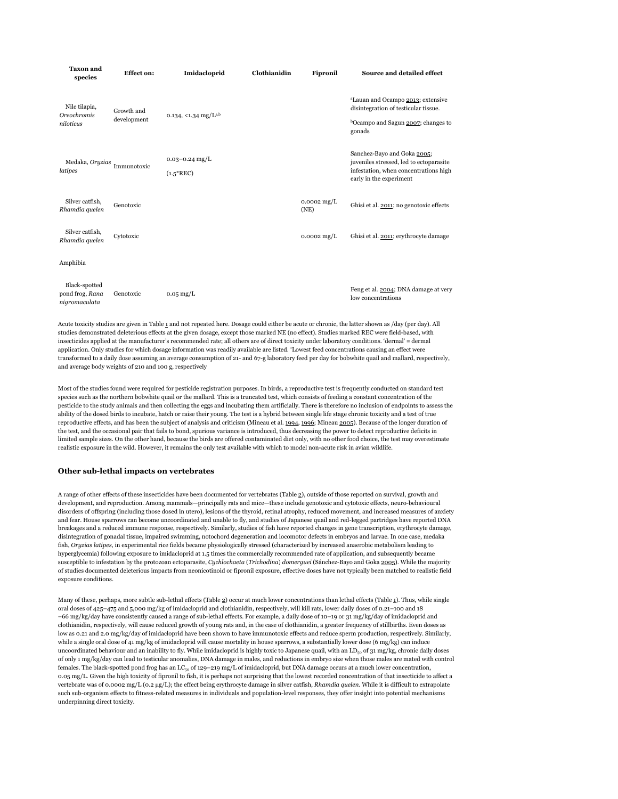| <b>Taxon</b> and<br>species                       | <b>Effect on:</b>         | Imidacloprid                      | Clothianidin | Fipronil              | Source and detailed effect                                                                                                                        |
|---------------------------------------------------|---------------------------|-----------------------------------|--------------|-----------------------|---------------------------------------------------------------------------------------------------------------------------------------------------|
| Nile tilapia,<br>Oreochromis<br>niloticus         | Growth and<br>development | 0.134, <1.34 mg/La,b              |              |                       | <sup>a</sup> Lauan and Ocampo 2013; extensive<br>disintegration of testicular tissue.<br><sup>b</sup> Ocampo and Sagun 2007; changes to<br>gonads |
| Medaka, Oryzias<br>latipes                        | Immunotoxic               | $0.03 - 0.24$ mg/L<br>$(1.5*REC)$ |              |                       | Sanchez-Bayo and Goka 2005;<br>juveniles stressed, led to ectoparasite<br>infestation, when concentrations high<br>early in the experiment        |
| Silver catfish,<br>Rhamdia quelen                 | Genotoxic                 |                                   |              | $0.0002$ mg/L<br>(NE) | Ghisi et al. 2011; no genotoxic effects                                                                                                           |
| Silver catfish,<br>Rhamdia quelen                 | Cytotoxic                 |                                   |              | $0.0002$ mg/L         | Ghisi et al. 2011; erythrocyte damage                                                                                                             |
| Amphibia                                          |                           |                                   |              |                       |                                                                                                                                                   |
| Black-spotted<br>pond frog, Rana<br>nigromaculata | Genotoxic                 | $0.05$ mg/L                       |              |                       | Feng et al. 2004; DNA damage at very<br>low concentrations                                                                                        |

Acute toxicity studies are given in Table 1 and not repeated here. Dosage could either be acute or chronic, the latter shown as /day (per day). All studies demonstrated deleterious effects at the given dosage, except those marked NE (no effect). Studies marked REC were field-based, with insecticides applied at the manufacturer's recommended rate; all others are of direct toxicity under laboratory conditions. 'dermal' = dermal application. Only studies for which dosage information was readily available are listed. "Lowest feed concentrations causing an effect were transformed to a daily dose assuming an average consumption of 21- and 67-g laboratory feed per day for bobwhite quail and mallard, respectively, and average body weights of 210 and 100 g, respectively

Most of the studies found were required for pesticide registration purposes. In birds, a reproductive test is frequently conducted on standard test species such as the northern bobwhite quail or the mallard. This is a truncated test, which consists of feeding a constant concentration of the pesticide to the study animals and then collecting the eggs and incubating them artificially. There is therefore no inclusion of endpoints to assess the ability of the dosed birds to incubate, hatch or raise their young. The test is a hybrid between single life stage chronic toxicity and a test of true reproductive effects, and has been the subject of analysis and criticism (Mineau et al. 1994, 1996; Mineau 2005). Because of the longer duration of the test, and the occasional pair that fails to bond, spurious variance is introduced, thus decreasing the power to detect reproductive deficits in limited sample sizes. On the other hand, because the birds are offered contaminated diet only, with no other food choice, the test may overestimate realistic exposure in the wild. However, it remains the only test available with which to model non-acute risk in avian wildlife.

## Other sub-lethal impacts on vertebrates

A range of other effects of these insecticides have been documented for vertebrates (Table 2), outside of those reported on survival, growth and development, and reproduction. Among mammals—principally rats and mice—these include genotoxic and cytotoxic effects, neuro-behavioural disorders of offspring (including those dosed in utero), lesions of the thyroid, retinal atrophy, reduced movement, and increased measures of anxiety and fear. House sparrows can become uncoordinated and unable to fly, and studies of Japanese quail and red-legged partridges have reported DNA breakages and a reduced immune response, respectively. Similarly, studies of fish have reported changes in gene transcription, erythrocyte damage, disintegration of gonadal tissue, impaired swimming, notochord degeneration and locomotor defects in embryos and larvae. In one case, medaka fish, Oryzias latipes, in experimental rice fields became physiologically stressed (characterized by increased anaerobic metabolism leading to hyperglycemia) following exposure to imidacloprid at 1.5 times the commercially recommended rate of application, and subsequently became susceptible to infestation by the protozoan ectoparasite, Cychlochaeta (Trichodina) domerguei (Sánchez-Bayo and Goka 2005). While the majority of studies documented deleterious impacts from neonicotinoid or fipronil exposure, effective doses have not typically been matched to realistic field exposure conditions.

Many of these, perhaps, more subtle sub-lethal effects (Table 2) occur at much lower concentrations than lethal effects (Table 1). Thus, while single oral doses of 425–475 and 5,000 mg/kg of imidacloprid and clothianidin, respectively, will kill rats, lower daily doses of 0.21–100 and 18 –66 mg/kg/day have consistently caused a range of sub-lethal effects. For example, a daily dose of 10–19 or 31 mg/kg/day of imidacloprid and clothianidin, respectively, will cause reduced growth of young rats and, in the case of clothianidin, a greater frequency of stillbirths. Even doses as low as 0.21 and 2.0 mg/kg/day of imidacloprid have been shown to have immunotoxic effects and reduce sperm production, respectively. Similarly, while a single oral dose of 41 mg/kg of imidacloprid will cause mortality in house sparrows, a substantially lower dose (6 mg/kg) can induce uncoordinated behaviour and an inability to fly. While imidacloprid is highly toxic to Japanese quail, with an LD<sub>50</sub> of  $31 \text{ mg/kg}$ , chronic daily doses of only 1 mg/kg/day can lead to testicular anomalies, DNA damage in males, and reductions in embryo size when those males are mated with control females. The black-spotted pond frog has an LC<sub>50</sub> of 129–219 mg/L of imidacloprid, but DNA damage occurs at a much lower concentration, 0.05 mg/L. Given the high toxicity of fipronil to fish, it is perhaps not surprising that the lowest recorded concentration of that insecticide to affect a vertebrate was of 0.0002 mg/L (0.2 μg/L); the effect being erythrocyte damage in silver catfish, Rhamdia quelen. While it is difficult to extrapolate such sub-organism effects to fitness-related measures in individuals and population-level responses, they offer insight into potential mechanisms underpinning direct toxicity.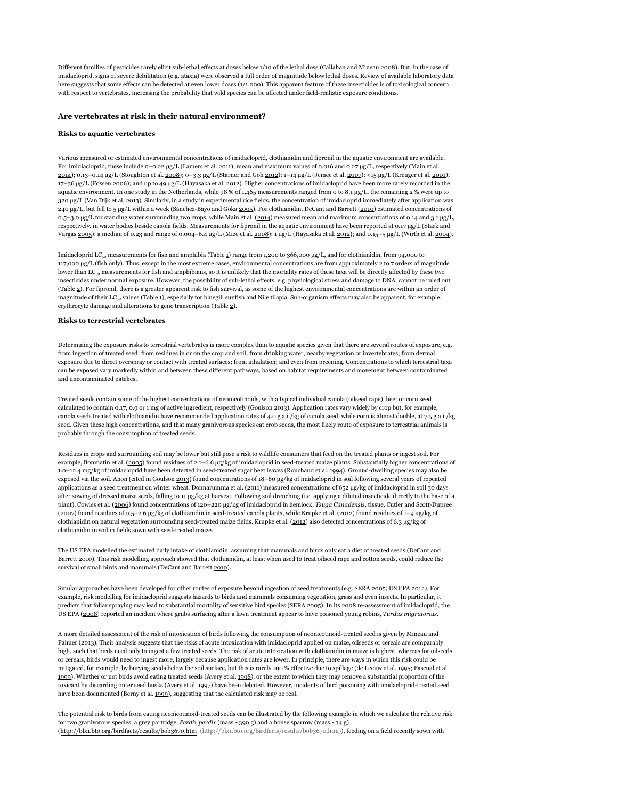Different families of pesticides rarely elicit sub-lethal effects at doses below 1/10 of the lethal dose (Callahan and Mineau 2008). But, in the case of imidacloprid, signs of severe debilitation (e.g. ataxia) were observed a full order of magnitude below lethal doses. Review of available laboratory data here suggests that some effects can be detected at even lower doses (1/1,000). This apparent feature of these insecticides is of toxicological concern with respect to vertebrates, increasing the probability that wild species can be affected under field-realistic exposure conditions.

## Are vertebrates at risk in their natural environment?

## Risks to aquatic vertebrates

Various measured or estimated environmental concentrations of imidacloprid, clothianidin and fipronil in the aquatic environment are available. For imidiacloprid, these include 0–0.22 μg/L (Lamers et al. 2011); mean and maximum values of 0.016 and 0.27 μg/L, respectively (Main et al. 2014); 0.13–0.14 μg/L (Stoughton et al. 2008); 0–3.3 μg/L (Starner and Goh 2012); 1–14 μg/L (Jemec et al. 2007); <15 μg/L (Kreuger et al. 2010); 17–36 μg/L (Fossen 2006); and up to 49 μg/L (Hayasaka et al. 2012). Higher concentrations of imidacloprid have been more rarely recorded in the aquatic environment. In one study in the Netherlands, while 98 % of 1,465 measurements ranged from 0 to 8.1 μg/L, the remaining 2 % were up to 320 μg/L (Van Dijk et al. 2013). Similarly, in a study in experimental rice fields, the concentration of imidacloprid immediately after application was 240 μg/L, but fell to 5 μg/L within a week (Sánchez-Bayo and Goka 2005). For clothianidin, DeCant and Barrett (2010) estimated concentrations of 0.5–3.0 μg/L for standing water surrounding two crops, while Main et al. (2014) measured mean and maximum concentrations of 0.14 and 3.1 μg/L, respectively, in water bodies beside canola fields. Measurements for fipronil in the aquatic environment have been reported at 0.17 μg/L (Stark and Vargas 2005); a median of 0.23 and range of 0.004–6.4 μg/L (Mize et al. 2008); 1 μg/L (Hayasaka et al. 2012); and 0.15–5 μg/L (Wirth et al. 2004).

Imidacloprid LC<sub>50</sub> measurements for fish and amphibia (Table 1) range from 1,200 to 366,000 μg/L, and for clothianidin, from 94,000 to 117,000 μg/L (fish only). Thus, except in the most extreme cases, environmental concentrations are from approximately 2 to 7 orders of magnitude lower than  $LC_{50}$  measurements for fish and amphibians, so it is unlikely that the mortality rates of these taxa will be directly affected by these two insecticides under normal exposure. However, the possibility of sub-lethal effects, e.g. physiological stress and damage to DNA, cannot be ruled out (Table 2). For fipronil, there is a greater apparent risk to fish survival, as some of the highest environmental concentrations are within an order of magnitude of their LC<sub>50</sub> values (Table 1), especially for bluegill sunfish and Nile tilapia. Sub-organism effects may also be apparent, for example, erythrocyte damage and alterations to gene transcription (Table 2).

### Risks to terrestrial vertebrates

Determining the exposure risks to terrestrial vertebrates is more complex than to aquatic species given that there are several routes of exposure, e.g. from ingestion of treated seed; from residues in or on the crop and soil; from drinking water, nearby vegetation or invertebrates; from dermal exposure due to direct overspray or contact with treated surfaces; from inhalation; and even from preening. Concentrations to which terrestrial taxa can be exposed vary markedly within and between these different pathways, based on habitat requirements and movement between contaminated and uncontaminated patches.

Treated seeds contain some of the highest concentrations of neonicotinoids, with a typical individual canola (oilseed rape), beet or corn seed calculated to contain 0.17, 0.9 or 1 mg of active ingredient, respectively (Goulson 2013). Application rates vary widely by crop but, for example, canola seeds treated with clothianidin have recommended application rates of 4.0 g a.i./kg of canola seed, while corn is almost double, at 7.5 g a.i./kg seed. Given these high concentrations, and that many granivorous species eat crop seeds, the most likely route of exposure to terrestrial animals is probably through the consumption of treated seeds.

Residues in crops and surrounding soil may be lower but still pose a risk to wildlife consumers that feed on the treated plants or ingest soil. For example, Bonmatin et al. (2005) found residues of 2.1–6.6 μg/kg of imidacloprid in seed-treated maize plants. Substantially higher concentrations of 1.0–12.4 mg/kg of imidacloprid have been detected in seed-treated sugar beet leaves (Rouchaud et al. 1994). Ground-dwelling species may also be exposed via the soil. Anon (cited in Goulson 2013) found concentrations of 18–60 μg/kg of imidacloprid in soil following several years of repeated applications as a seed treatment on winter wheat. Donnarumma et al. (2011) measured concentrations of 652 μg/kg of imidacloprid in soil 30 days after sowing of dressed maize seeds, falling to 11 μg/kg at harvest. Following soil drenching (i.e. applying a diluted insecticide directly to the base of a plant), Cowles et al. (2006) found concentrations of 120–220 μg/kg of imidacloprid in hemlock, Tsuga Canadensis, tissue. Cutler and Scott-Dupree (2007) found residues of 0.5–2.6 μg/kg of clothianidin in seed-treated canola plants, while Krupke et al. (2012) found residues of 1–9 μg/kg of clothianidin on natural vegetation surrounding seed-treated maize fields. Krupke et al. (2012) also detected concentrations of 6.3 μg/kg of clothianidin in soil in fields sown with seed-treated maize.

The US EPA modelled the estimated daily intake of clothianidin, assuming that mammals and birds only eat a diet of treated seeds (DeCant and Barrett 2010). This risk modelling approach showed that clothianidin, at least when used to treat oilseed rape and cotton seeds, could reduce the survival of small birds and mammals (DeCant and Barrett 2010).

Similar approaches have been developed for other routes of exposure beyond ingestion of seed treatments (e.g. SERA 2005; US EPA 2012). For example, risk modelling for imidacloprid suggests hazards to birds and mammals consuming vegetation, grass and even insects. In particular, it predicts that foliar spraying may lead to substantial mortality of sensitive bird species (SERA 2005). In its 2008 re-assessment of imidacloprid, the US EPA (2008) reported an incident where grubs surfacing after a lawn treatment appear to have poisoned young robins, Turdus migratorius.

A more detailed assessment of the risk of intoxication of birds following the consumption of neonicotinoid-treated seed is given by Mineau and Palmer (2013). Their analysis suggests that the risks of acute intoxication with imidacloprid applied on maize, oilseeds or cereals are comparably high, such that birds need only to ingest a few treated seeds. The risk of acute intoxication with clothianidin in maize is highest, whereas for oilseeds or cereals, birds would need to ingest more, largely because application rates are lower. In principle, there are ways in which this risk could be mitigated, for example, by burying seeds below the soil surface, but this is rarely 100 % effective due to spillage (de Leeuw et al. 1995; Pascual et al. 1999). Whether or not birds avoid eating treated seeds (Avery et al. 1998), or the extent to which they may remove a substantial proportion of the toxicant by discarding outer seed husks (Avery et al. 1997) have been debated. However, incidents of bird poisoning with imidacloprid-treated seed have been documented (Berny et al. 1999), suggesting that the calculated risk may be real.

The potential risk to birds from eating neonicotinoid-treated seeds can be illustrated by the following example in which we calculate the relative risk for two granivorous species, a grey partridge, *Perdix perdix* (mass ~390 g) and a house sparrow (mass ~34 g) (http://blx1.bto.org/birdfacts/results/bob3670.htm (http://blx1.bto.org/birdfacts/results/bob3670.htm)), feeding on a field recently sown with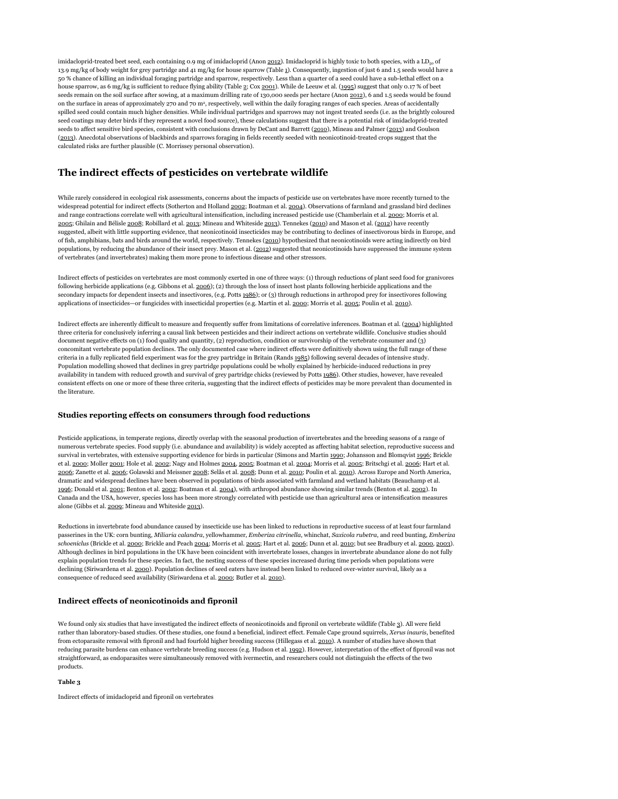imidacloprid-treated beet seed, each containing 0.9 mg of imidacloprid (Anon 2012). Imidacloprid is highly toxic to both species, with a LD<sub>50</sub> of 13.9 mg/kg of body weight for grey partridge and 41 mg/kg for house sparrow (Table 1). Consequently, ingestion of just 6 and 1.5 seeds would have a 50 % chance of killing an individual foraging partridge and sparrow, respectively. Less than a quarter of a seed could have a sub-lethal effect on a house sparrow, as 6 mg/kg is sufficient to reduce flying ability (Table 2; Cox 2001). While de Leeuw et al. (1995) suggest that only 0.17 % of beet seeds remain on the soil surface after sowing, at a maximum drilling rate of 130,000 seeds per hectare (Anon 2012), 6 and 1.5 seeds would be found on the surface in areas of approximately 270 and 70 m<sup>2</sup>, respectively, well within the daily foraging ranges of each species. Areas of accidentally spilled seed could contain much higher densities. While individual partridges and sparrows may not ingest treated seeds (i.e. as the brightly coloured seed coatings may deter birds if they represent a novel food source), these calculations suggest that there is a potential risk of imidacloprid-treated seeds to affect sensitive bird species, consistent with conclusions drawn by DeCant and Barrett (2010), Mineau and Palmer (2013) and Goulson (2013). Anecdotal observations of blackbirds and sparrows foraging in fields recently seeded with neonicotinoid-treated crops suggest that the calculated risks are further plausible (C. Morrissey personal observation).

# The indirect effects of pesticides on vertebrate wildlife

While rarely considered in ecological risk assessments, concerns about the impacts of pesticide use on vertebrates have more recently turned to the widespread potential for indirect effects (Sotherton and Holland 2002; Boatman et al. 2004). Observations of farmland and grassland bird declines and range contractions correlate well with agricultural intensification, including increased pesticide use (Chamberlain et al. 2000; Morris et al. 2005; Ghilain and Bélisle 2008; Robillard et al. 2013; Mineau and Whiteside 2013). Tennekes (2010) and Mason et al. (2012) have recently suggested, albeit with little supporting evidence, that neonicotinoid insecticides may be contributing to declines of insectivorous birds in Europe, and of fish, amphibians, bats and birds around the world, respectively. Tennekes (2010) hypothesized that neonicotinoids were acting indirectly on bird populations, by reducing the abundance of their insect prey. Mason et al. ( $2012$ ) suggested that neonicotinoids have suppressed the immune system of vertebrates (and invertebrates) making them more prone to infectious disease and other stressors.

Indirect effects of pesticides on vertebrates are most commonly exerted in one of three ways: (1) through reductions of plant seed food for granivores following herbicide applications (e.g. Gibbons et al. 2006); (2) through the loss of insect host plants following herbicide applications and the secondary impacts for dependent insects and insectivores, (e.g. Potts 1986); or (3) through reductions in arthropod prey for insectivores following applications of insecticides—or fungicides with insecticidal properties (e.g. Martin et al. 2000; Morris et al. 2005; Poulin et al. 2010).

Indirect effects are inherently difficult to measure and frequently suffer from limitations of correlative inferences. Boatman et al. (2004) highlighted three criteria for conclusively inferring a causal link between pesticides and their indirect actions on vertebrate wildlife. Conclusive studies should document negative effects on (1) food quality and quantity, (2) reproduction, condition or survivorship of the vertebrate consumer and (3) concomitant vertebrate population declines. The only documented case where indirect effects were definitively shown using the full range of these criteria in a fully replicated field experiment was for the grey partridge in Britain (Rands 1985) following several decades of intensive study. Population modelling showed that declines in grey partridge populations could be wholly explained by herbicide-induced reductions in prey availability in tandem with reduced growth and survival of grey partridge chicks (reviewed by Potts 1986). Other studies, however, have revealed consistent effects on one or more of these three criteria, suggesting that the indirect effects of pesticides may be more prevalent than documented in the literature.

## Studies reporting effects on consumers through food reductions

Pesticide applications, in temperate regions, directly overlap with the seasonal production of invertebrates and the breeding seasons of a range of numerous vertebrate species. Food supply (i.e. abundance and availability) is widely accepted as affecting habitat selection, reproductive success and survival in vertebrates, with extensive supporting evidence for birds in particular (Simons and Martin 1990; Johansson and Blomqvist 1996; Brickle et al. 2000; Moller 2001; Hole et al. 2002; Nagy and Holmes 2004, 2005; Boatman et al. 2004; Morris et al. 2005; Britschgi et al. 2006; Hart et al. 2006; Zanette et al. 2006; Golawski and Meissner 2008; Selås et al. 2008; Dunn et al. 2010; Poulin et al. 2010). Across Europe and North America, dramatic and widespread declines have been observed in populations of birds associated with farmland and wetland habitats (Beauchamp et al. 1996; Donald et al. 2001; Benton et al. 2002; Boatman et al. 2004), with arthropod abundance showing similar trends (Benton et al. 2002). In Canada and the USA, however, species loss has been more strongly correlated with pesticide use than agricultural area or intensification measures alone (Gibbs et al. 2009; Mineau and Whiteside 2013).

Reductions in invertebrate food abundance caused by insecticide use has been linked to reductions in reproductive success of at least four farmland passerines in the UK: corn bunting, Miliaria calandra, yellowhammer, Emberiza citrinella, whinchat, Saxicola rubetra, and reed bunting, Emberiza schoeniclus (Brickle et al. 2000; Brickle and Peach 2004; Morris et al. 2005; Hart et al. 2006; Dunn et al. 2010; but see Bradbury et al. 2000, 2003). Although declines in bird populations in the UK have been coincident with invertebrate losses, changes in invertebrate abundance alone do not fully explain population trends for these species. In fact, the nesting success of these species increased during time periods when populations were declining (Siriwardena et al. 2000). Population declines of seed eaters have instead been linked to reduced over-winter survival, likely as a consequence of reduced seed availability (Siriwardena et al. 2000; Butler et al. 2010).

### Indirect effects of neonicotinoids and fipronil

We found only six studies that have investigated the indirect effects of neonicotinoids and fipronil on vertebrate wildlife (Table 3). All were field rather than laboratory-based studies. Of these studies, one found a beneficial, indirect effect. Female Cape ground squirrels, Xerus inauris, benefited from ectoparasite removal with fipronil and had fourfold higher breeding success (Hillegass et al. 2010). A number of studies have shown that reducing parasite burdens can enhance vertebrate breeding success (e.g. Hudson et al. 1992). However, interpretation of the effect of fipronil was not straightforward, as endoparasites were simultaneously removed with ivermectin, and researchers could not distinguish the effects of the two products.

## Table 3

Indirect effects of imidacloprid and fipronil on vertebrates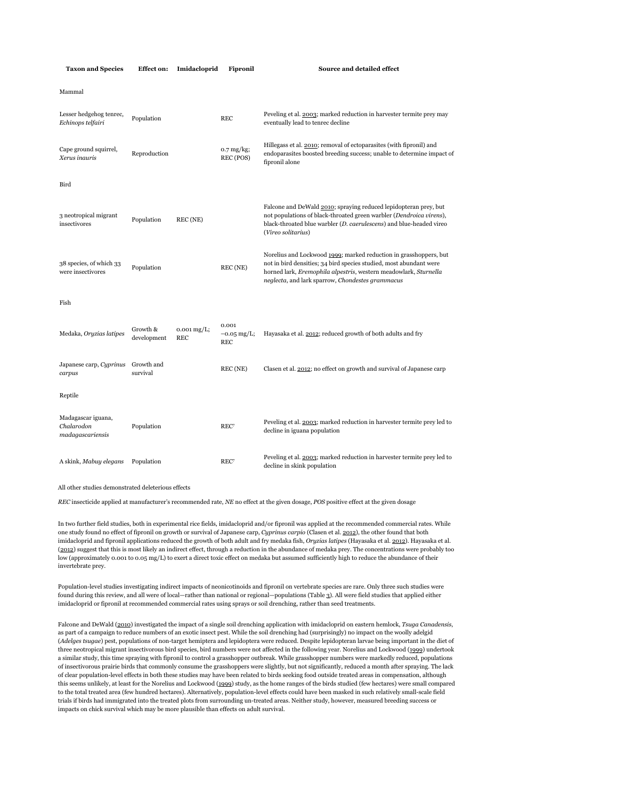| <b>Taxon and Species</b>                             | <b>Effect on:</b>       | Imidacloprid         | <b>Fipronil</b>                       | Source and detailed effect                                                                                                                                                                                                                                      |
|------------------------------------------------------|-------------------------|----------------------|---------------------------------------|-----------------------------------------------------------------------------------------------------------------------------------------------------------------------------------------------------------------------------------------------------------------|
| Mammal                                               |                         |                      |                                       |                                                                                                                                                                                                                                                                 |
| Lesser hedgehog tenrec,<br>Echinops telfairi         | Population              |                      | <b>REC</b>                            | Peveling et al. 2003; marked reduction in harvester termite prey may<br>eventually lead to tenrec decline                                                                                                                                                       |
| Cape ground squirrel,<br>Xerus inauris               | Reproduction            |                      | $0.7 \,\mathrm{mg/kg}$ ;<br>REC (POS) | Hillegass et al. 2010; removal of ectoparasites (with fipronil) and<br>endoparasites boosted breeding success; unable to determine impact of<br>fipronil alone                                                                                                  |
| Bird                                                 |                         |                      |                                       |                                                                                                                                                                                                                                                                 |
| 3 neotropical migrant<br>insectivores                | Population              | REC (NE)             |                                       | Falcone and DeWald 2010; spraying reduced lepidopteran prey, but<br>not populations of black-throated green warbler (Dendroica virens),<br>black-throated blue warbler ( <i>D. caerulescens</i> ) and blue-headed vireo<br>(Vireo solitarius)                   |
| 38 species, of which 33<br>were insectivores         | Population              |                      | REC (NE)                              | Norelius and Lockwood 1999; marked reduction in grasshoppers, but<br>not in bird densities; 34 bird species studied, most abundant were<br>horned lark, Eremophila alpestris, western meadowlark, Sturnella<br>neglecta, and lark sparrow, Chondestes grammacus |
| Fish                                                 |                         |                      |                                       |                                                                                                                                                                                                                                                                 |
| Medaka, Oryzias latipes                              | Growth &<br>development | $0.001$ mg/L;<br>REC | 0.001<br>$-0.05$ mg/L;<br><b>REC</b>  | Hayasaka et al. 2012; reduced growth of both adults and fry                                                                                                                                                                                                     |
| Japanese carp, Cyprinus<br>carpus                    | Growth and<br>survival  |                      | REC (NE)                              | Clasen et al. 2012; no effect on growth and survival of Japanese carp                                                                                                                                                                                           |
| Reptile                                              |                         |                      |                                       |                                                                                                                                                                                                                                                                 |
| Madagascar iguana,<br>Chalarodon<br>madagascariensis | Population              |                      | REC7                                  | Peveling et al. 2003; marked reduction in harvester termite prey led to<br>decline in iguana population                                                                                                                                                         |
| A skink, Mabuy elegans                               | Population              |                      | REC7                                  | Peveling et al. 2003; marked reduction in harvester termite prey led to<br>decline in skink population                                                                                                                                                          |

All other studies demonstrated deleterious effects

REC insecticide applied at manufacturer's recommended rate, NE no effect at the given dosage, POS positive effect at the given dosage

In two further field studies, both in experimental rice fields, imidacloprid and/or fipronil was applied at the recommended commercial rates. While one study found no effect of fipronil on growth or survival of Japanese carp, Cyprinus carpio (Clasen et al. 2012), the other found that both imidacloprid and fipronil applications reduced the growth of both adult and fry medaka fish, Oryzias latipes (Hayasaka et al. 2012). Hayasaka et al. (2012) suggest that this is most likely an indirect effect, through a reduction in the abundance of medaka prey. The concentrations were probably too low (approximately 0.001 to 0.05 mg/L) to exert a direct toxic effect on medaka but assumed sufficiently high to reduce the abundance of their invertebrate prey.

Population-level studies investigating indirect impacts of neonicotinoids and fipronil on vertebrate species are rare. Only three such studies were found during this review, and all were of local—rather than national or regional—populations (Table 3). All were field studies that applied either imidacloprid or fipronil at recommended commercial rates using sprays or soil drenching, rather than seed treatments.

Falcone and DeWald (2010) investigated the impact of a single soil drenching application with imidacloprid on eastern hemlock, Tsuga Canadensis, as part of a campaign to reduce numbers of an exotic insect pest. While the soil drenching had (surprisingly) no impact on the woolly adelgid (Adelges tsugae) pest, populations of non-target hemiptera and lepidoptera were reduced. Despite lepidopteran larvae being important in the diet of three neotropical migrant insectivorous bird species, bird numbers were not affected in the following year. Norelius and Lockwood (1999) undertook a similar study, this time spraying with fipronil to control a grasshopper outbreak. While grasshopper numbers were markedly reduced, populations of insectivorous prairie birds that commonly consume the grasshoppers were slightly, but not significantly, reduced a month after spraying. The lack of clear population-level effects in both these studies may have been related to birds seeking food outside treated areas in compensation, although this seems unlikely, at least for the Norelius and Lockwood (1999) study, as the home ranges of the birds studied (few hectares) were small compared to the total treated area (few hundred hectares). Alternatively, population-level effects could have been masked in such relatively small-scale field trials if birds had immigrated into the treated plots from surrounding un-treated areas. Neither study, however, measured breeding success or impacts on chick survival which may be more plausible than effects on adult survival.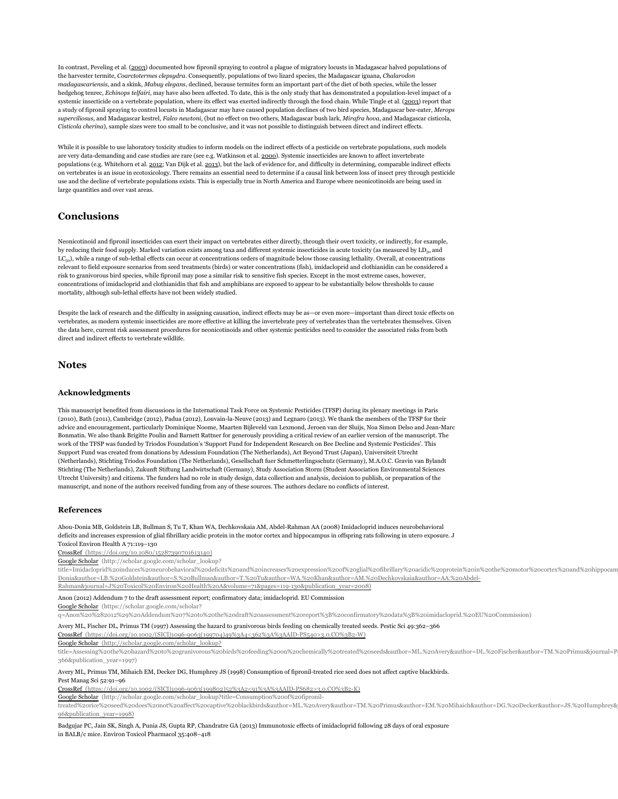In contrast, Peveling et al. (2003) documented how fipronil spraying to control a plague of migratory locusts in Madagascar halved populations of the harvester termite, Coarctotermes clepsydra. Consequently, populations of two lizard species, the Madagascar iguana, Chalarodon madagascariensis, and a skink, Mabuy elegans, declined, because termites form an important part of the diet of both species, while the lesser hedgehog tenrec, Echinops telfairi, may have also been affected. To date, this is the only study that has demonstrated a population-level impact of a systemic insecticide on a vertebrate population, where its effect was exerted indirectly through the food chain. While Tingle et al. (2003) report that a study of fipronil spraying to control locusts in Madagascar may have caused population declines of two bird species, Madagascar bee-eater, Merops superciliosus, and Madagascar kestrel, Falco newtoni, (but no effect on two others, Madagascar bush lark, Mirafra hova, and Madagascar cisticola, Cisticola cherina), sample sizes were too small to be conclusive, and it was not possible to distinguish between direct and indirect effects.

While it is possible to use laboratory toxicity studies to inform models on the indirect effects of a pesticide on vertebrate populations, such models are very data-demanding and case studies are rare (see e.g. Watkinson et al. 2000). Systemic insecticides are known to affect invertebrate populations (e.g. Whitehorn et al. 2012; Van Dijk et al. 2013), but the lack of evidence for, and difficulty in determining, comparable indirect effects on vertebrates is an issue in ecotoxicology. There remains an essential need to determine if a causal link between loss of insect prey through pesticide use and the decline of vertebrate populations exists. This is especially true in North America and Europe where neonicotinoids are being used in large quantities and over vast areas.

# Conclusions

Neonicotinoid and fipronil insecticides can exert their impact on vertebrates either directly, through their overt toxicity, or indirectly, for example, by reducing their food supply. Marked variation exists among taxa and different systemic insecticides in acute toxicity (as measured by  $LD_{50}$  and  $LC_{50}$ , while a range of sub-lethal effects can occur at concentrations orders of magnitude below those causing lethality. Overall, at concentrations relevant to field exposure scenarios from seed treatments (birds) or water concentrations (fish), imidacloprid and clothianidin can be considered a risk to granivorous bird species, while fipronil may pose a similar risk to sensitive fish species. Except in the most extreme cases, however, concentrations of imidacloprid and clothianidin that fish and amphibians are exposed to appear to be substantially below thresholds to cause mortality, although sub-lethal effects have not been widely studied.

Despite the lack of research and the difficulty in assigning causation, indirect effects may be as—or even more—important than direct toxic effects on vertebrates, as modern systemic insecticides are more effective at killing the invertebrate prey of vertebrates than the vertebrates themselves. Given the data here, current risk assessment procedures for neonicotinoids and other systemic pesticides need to consider the associated risks from both direct and indirect effects to vertebrate wildlife.

# **Notes**

### Acknowledgments

This manuscript benefited from discussions in the International Task Force on Systemic Pesticides (TFSP) during its plenary meetings in Paris (2010), Bath (2011), Cambridge (2012), Padua (2012), Louvain-la-Neuve (2013) and Legnaro (2013). We thank the members of the TFSP for their advice and encouragement, particularly Dominique Noome, Maarten Bijleveld van Lexmond, Jeroen van der Sluijs, Noa Simon Delso and Jean-Marc Bonmatin. We also thank Brigitte Poulin and Barnett Rattner for generously providing a critical review of an earlier version of the manuscript. The work of the TFSP was funded by Triodos Foundation's 'Support Fund for Independent Research on Bee Decline and Systemic Pesticides'. This Support Fund was created from donations by Adessium Foundation (The Netherlands), Act Beyond Trust (Japan), Universiteit Utrecht (Netherlands), Stichting Triodos Foundation (The Netherlands), Gesellschaft fuer Schmetterlingsschutz (Germany), M.A.O.C. Gravin van Bylandt Stichting (The Netherlands), Zukunft Stiftung Landwirtschaft (Germany), Study Association Storm (Student Association Environmental Sciences Utrecht University) and citizens. The funders had no role in study design, data collection and analysis, decision to publish, or preparation of the manuscript, and none of the authors received funding from any of these sources. The authors declare no conflicts of interest.

### References

Abou-Donia MB, Goldstein LB, Bullman S, Tu T, Khan WA, Dechkovskaia AM, Abdel-Rahman AA (2008) Imidacloprid induces neurobehavioral deficits and increases expression of glial fibrillary acidic protein in the motor cortex and hippocampus in offspring rats following in utero exposure. J Toxicol Environ Health A 71:119–130

CrossRef (https://doi.org/10.1080/15287390701613140)

Google Scholar (http://scholar.google.com/scholar\_lookup?

title=Imidacloprid%20induces%20neurobehavioral%20deficits%20and%20increases%20expression%20of%20glial%20fibrillary%20acidic%20protein%20in%20the%20motor%20cortex%20and%20hippocan Donia&author=LB.%20Goldstein&author=S.%20Bullman&author=T.%20Tu&author=WA.%20Khan&author=AM.%20Dechkovskaia&author=AA.%20Abdel-Rahman&journal=J%20Toxicol%20Environ%20Health%20A&volume=71&pages=119-130&publication\_year=2008)

Anon (2012) Addendum 7 to the draft assessment report; confirmatory data; imidacloprid. EU Commission

Google Scholar (https://scholar.google.com/scholar?

q=Anon%20%282012%29%20Addendum%207%20to%20the%20draft%20assessment%20report%3B%20confirmatory%20data%3B%20imidacloprid.%20EU%20Commission)

Avery ML, Fischer DL, Primus TM (1997) Assessing the hazard to granivorous birds feeding on chemically treated seeds. Pestic Sci 49:362–366

CrossRef (https://doi.org/10.1002/(SICI)1096-9063(199704)49%3A4<362%3A%3AAID-PS540>3.0.CO%3B2-W)

Google Scholar (http://scholar.google.com/scholar\_lookup?

title=Assessing%20the%20hazard%20to%20granivorous%20birds%20feeding%20on%20chemically%20treated%20seeds&author=ML.%20Avery&author=DL.%20Fischer&author=TM.%20Primus&journal=P 366&publication\_year=1997)

Avery ML, Primus TM, Mihaich EM, Decker DG, Humphrey JS (1998) Consumption of fipronil-treated rice seed does not affect captive blackbirds. Pest Manag Sci 52:91–96

CrossRef (https://doi.org/10.1002/(SICI)1096-9063(199802)52%3A2<91%3A%3AAID-PS682>3.0.CO%3B2-K)

Google Scholar (http://scholar.google.com/scholar\_lookup?title=Consumption%20of%20fipronil-

treated%20rice%20seed%20does%20not%20affect%20captive%20blackbirds&author=ML.%20Avery&author=TM.%20Primus&author=EM.%20Mihaich&author=DG.%20Decker&author=JS.%20Humphrey&  $vear=1008$ 

Badgujar PC, Jain SK, Singh A, Punia JS, Gupta RP, Chandratre GA (2013) Immunotoxic effects of imidacloprid following 28 days of oral exposure

in BALB/c mice. Environ Toxicol Pharmacol 35:408–418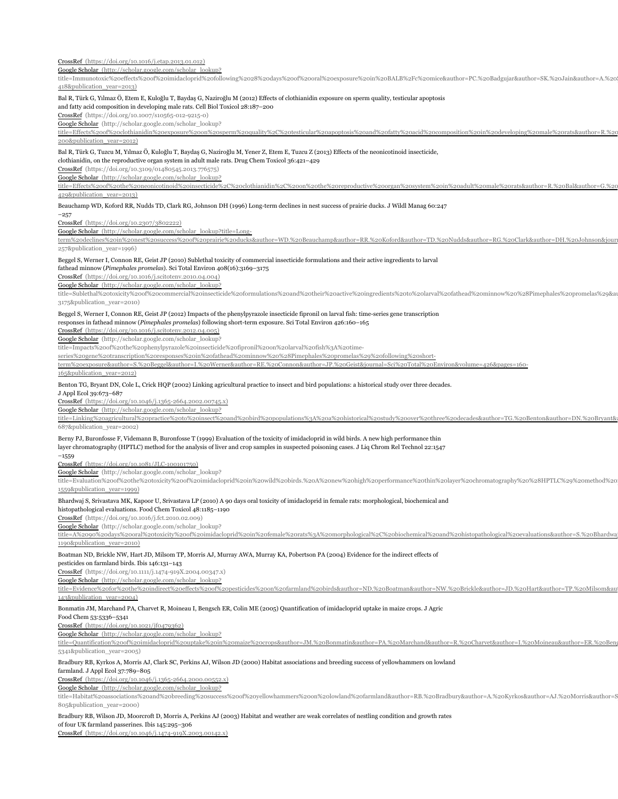### CrossRef (https://doi.org/10.1016/j.etap.2013.01.012)

### Google Scholar (http://scholar.google.com/scholar\_lookup?

title=Immunotoxic%20effects%20of%20imidacloprid%20following%2028%20days%20of%20oral%20exposure%20in%20BALB%2Fc%20mice&author=PC.%20Badgujar&author=SK.%20Jain&author=A.%20 418&publication\_year=2013)

## Bal R, Türk G, Yılmaz Ö, Etem E, Kuloğlu T, Baydaş G, Naziroğlu M (2012) Effects of clothianidin exposure on sperm quality, testicular apoptosis

### and fatty acid composition in developing male rats. Cell Biol Toxicol 28:187–200

CrossRef (https://doi.org/10.1007/s10565-012-9215-0)

Google Scholar (http://scholar.google.com/scholar\_lookup?

title=Effects%200f%20clothianidin%20exposure%20on%20sperm%20quality%2C%20testicular%20apoptosis%20and%20fatty%20acid%20composition%20in%20developing%20male%20rats&author=R.%20 200&publication\_year=2012)

### Bal R, Türk G, Tuzcu M, Yılmaz Ö, Kuloğlu T, Baydaş G, Naziroğlu M, Yener Z, Etem E, Tuzcu Z (2013) Effects of the neonicotinoid insecticide,

clothianidin, on the reproductive organ system in adult male rats. Drug Chem Toxicol 36:421–429

CrossRef (https://doi.org/10.3109/01480545.2013.776575)

Google Scholar (http://scholar.google.com/scholar\_lookup?

title=Effects%20of%20the%20neonicotinoid%20insecticide%2C%20clothianidin%2C%20on%20the%20reproductive%20organ%20system%20in%20adult%20male%20rats&autho 429&publication\_year=2013)

## Beauchamp WD, Koford RR, Nudds TD, Clark RG, Johnson DH (1996) Long-term declines in nest success of prairie ducks. J Wildl Manag 60:247

–257

### CrossRef (https://doi.org/10.2307/3802222)

Google Scholar (http://scholar.google.com/scholar\_lookup?title=Long-

### 257&publication\_year=1996)

Beggel S, Werner I, Connon RE, Geist JP (2010) Sublethal toxicity of commercial insecticide formulations and their active ingredients to larval

fathead minnow (Pimephales promelas). Sci Total Environ 408(16):3169–3175

### CrossRef (https://doi.org/10.1016/j.scitotenv.2010.04.004)

Google Scholar (http://scholar.google.com/scholar\_lookup?

title=Sublethal%20toxicity%20of%20commercial%20insecticide%20formulations%20and%20their%20active%20ingredients%20to%20laryal%20fathead%20minnow%20%28Pimephales%20promelas%20&a 3175&publication\_year=2010)

term%20declines%20in%20nest%20success%20of%20prairie%20ducks&author=WD.%20Beauchamp&author=RR.%20Koford&author=TD.%20Nudds&author=RG.%20Clark&author=DH.%20Johnson&journal=J%20Wildl%20Manag&volume=60&pages=247-

Beggel S, Werner I, Connon RE, Geist JP (2012) Impacts of the phenylpyrazole insecticide fipronil on larval fish: time-series gene transcription

responses in fathead minnow (Pimephales promelas) following short-term exposure. Sci Total Environ 426:160–165

CrossRef (https://doi.org/10.1016/j.scitotenv.2012.04.005)

Google Scholar (http://scholar.google.com/scholar\_lookup?

title=Impacts%20of%20the%20phenylpyrazole%20insecticide%20fipronil%20on%20larval%20fish%3A%20time-

series%20gene%20transcription%20responses%20in%20fathead%20minnow%20%28Pimephales%20promelas%29%20following%20shortterm%20exposure&author=S.%20Beggel&author=I.%20Werner&author=RE.%20Connon&author=JP.%20Geist&journal=Sci%20Total%20Environ&volume=426&pages=160-

### 165&publication\_year=2012)

Benton TG, Bryant DN, Cole L, Crick HQP (2002) Linking agricultural practice to insect and bird populations: a historical study over three decades.

### J Appl Ecol 39:673–687

CrossRef (https://doi.org/10.1046/j.1365-2664.2002.00745.x)

### Google Scholar (http://scholar.google.com/scholar\_lookup

title=Linking%20agricultural%20practice%20to%20insect%20and%20bird%20populations%3A%20a%20historical%20study%20over%20three%20decades&author=TG.%20Benton&author=DN.%20Bryant& 687&publication\_year=2002)

### Berny PJ, Buronfosse F, Videmann B, Buronfosse T (1999) Evaluation of the toxicity of imidacloprid in wild birds. A new high performance thin

layer chromatography (HPTLC) method for the analysis of liver and crop samples in suspected poisoning cases. J Liq Chrom Rel Technol 22:1547

–1559

CrossRef (https://doi.org/10.1081/JLC-100101750)

## Google Scholar (http://scholar.google.com/scholar\_lookup?

title=Evaluation%20of%20the%20toxicity%20of%20imidacloprid%20in%20wild%20birds.%20A%20new%20high%20performance%20thin%20layer%20chromatography%20%28HPTLC%29%20method%20 1559&publication\_year=1999)

Bhardwaj S, Srivastava MK, Kapoor U, Srivastava LP (2010) A 90 days oral toxicity of imidacloprid in female rats: morphological, biochemical and

histopathological evaluations. Food Chem Toxicol 48:1185–1190

CrossRef (https://doi.org/10.1016/j.fct.2010.02.009)

Google Scholar (http://scholar.google.com/scholar\_lookup?

title=A%2090%20days%20oral%20toxicity%20of%20imidacloprid%20in%20female%20rats%3A%20morphological%2C%20biochemical%20and%20histopathological%2 1190&publication\_year=2010)

# Boatman ND, Brickle NW, Hart JD, Milsom TP, Morris AJ, Murray AWA, Murray KA, Pobertson PA (2004) Evidence for the indirect effects of

# pesticides on farmland birds. Ibis 146:131–143

CrossRef (https://doi.org/10.1111/j.1474-919X.2004.00347.x)

# Google Scholar (http://scholar.google.com/scholar\_looku

title=Evidence%20for%20the%20indirect%20effects%20of%20pesticides%20on%20farmland%20birds&author=ND.%20Boatman&author=NW.%20Brickle&author=JD.%20Hart&author=TP.%20Milsom&au 143&publication\_year=2004)

Bonmatin JM, Marchand PA, Charvet R, Moineau I, Bengsch ER, Colin ME (2005) Quantification of imidacloprid uptake in maize crops. J Agric

# Food Chem 53:5336–5341

CrossRef (https://doi.org/10.1021/jf0479362)

### Google Scholar (http://scholar.google.com/scholar\_lookup?

title=Quantification%20of%20imidacloprid%20uptake%20in%20maize%20crops&author=JM.%20Bonmatin&author=R.%20Marchand&author=R.%20Charvet&author=I.%20Moineau&author=ER.%20Ben 5341&publication\_year=2005)

Bradbury RB, Kyrkos A, Morris AJ, Clark SC, Perkins AJ, Wilson JD (2000) Habitat associations and breeding success of yellowhammers on lowland

### farmland. J Appl Ecol 37:789–805

CrossRef (https://doi.org/10.1046/j.1365-2664.2000.00552.x)

## Google Scholar (http://scholar.google.com/scholar\_lookup?

title=Habitat%20associations%20and%20breeding%20success%20of%20yellowhammers%20on%20lowland%20farmland&author=RB.%20Bradbury&author=A.%20Kyrkos&author=AJ.%20Morris&author=5 805&publication\_year=2000)

Bradbury RB, Wilson JD, Moorcroft D, Morris A, Perkins AJ (2003) Habitat and weather are weak correlates of nestling condition and growth rates of four UK farmland passerines. Ibis 145:295–306

## CrossRef (https://doi.org/10.1046/j.1474-919X.2003.00142.x)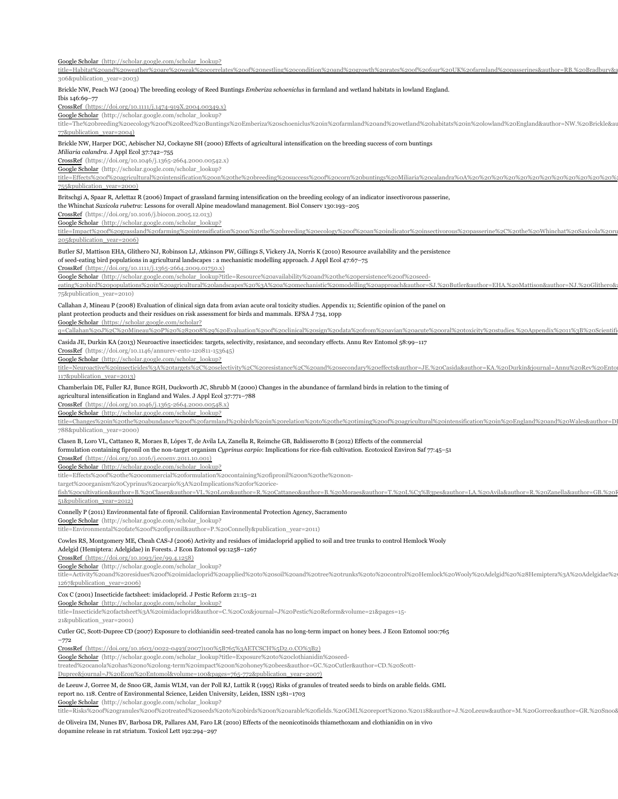Google Scholar (http://scholar.google.com/scholar\_lookup? <u>title=Habitat%20and%20weather%20are%20weak%20correlates%20of%20nestling%20condition%20and%20growth%20rates%20of%20four%20UK%20farmland%20passerines&author=RB.%20Bradbury&a</u> 306&publication\_year=2003) Brickle NW, Peach WJ (2004) The breeding ecology of Reed Buntings Emberiza schoeniclus in farmland and wetland habitats in lowland England. Ibis 146:69–77 CrossRef (https://doi.org/10.1111/j.1474-919X.2004.00349.x) Google Scholar (http://scholar.google.com/scholar\_lookup? title=The%20breeding%20ecology%20of%20Reed%20Buntings%20Emberiza%20schoeniclus%20in%20farmland%20and%20wetland%20habitats%20in%20lowland%20England&author=NW.%20Brickle&au 77&publication\_year=2004) Brickle NW, Harper DGC, Aebischer NJ, Cockayne SH (2000) Effects of agricultural intensification on the breeding success of corn buntings Miliaria calandra. J Appl Ecol 37:742–755 CrossRef (https://doi.org/10.1046/j.1365-2664.2000.00542.x) Google Scholar (http://scholar.google.com/scholar\_lookup? title=Effects%20of%20agricultural%20intensification%20on%20the%20breeding%20success%20of%20corn%20buntings%20Miliaria%20calandra%0A%20%20%20%20%20%20%20%20%20%20%20%20%20%20%20%20%20%20%20%20%20%20%20%20%20%20%20&author=NW.%20Brickle&author=DGC.%20Harper&author=NJ.%20Aebischer&author=SH.%20Cockayne&journal=J%20Appl%20Ecol&volume=37&pages=742- 755&publication\_year=2000) Britschgi A, Spaar R, Arlettaz R (2006) Impact of grassland farming intensification on the breeding ecology of an indicator insectivorous passerine, the Whinchat Saxicola rubetra: Lessons for overall Alpine meadowland management. Biol Conserv 130:193–205 CrossRef (https://doi.org/10.1016/j.biocon.2005.12.013) Google Scholar (http://scholar.google.com/scholar\_lookup? title=Impact%200f%20grassland%20farming%20intensification%20on%20the%20breeding%20ecology%20of%20an%20indicator%20insectivorous%20passerine%2C%20the%20Whinchat%20Saxicola%20ru ar=2006) Butler SJ, Mattison EHA, Glithero NJ, Robinson LJ, Atkinson PW, Gillings S, Vickery JA, Norris K (2010) Resource availability and the persistence of seed-eating bird populations in agricultural landscapes : a mechanistic modelling approach. J Appl Ecol 47:67–75 CrossRef (https://doi.org/10.1111/j.1365-2664.2009.01750.x) Google Scholar (http://scholar.google.com/scholar\_lookup?title=Resource%20availability%20and%20the%20persistence%20of%20seedeating%20bird%20populations%20in%20agricultural%20landscapes%20%3A%20a%20mechanistic%20modelling%20approach&author=SJ.%20Butler&author=EHA.%20Mattison&author=NJ.%20Glithero& 75&publication\_year=2010) Callahan J, Mineau P (2008) Evaluation of clinical sign data from avian acute oral toxicity studies. Appendix 11; Scientific opinion of the panel on plant protection products and their residues on risk assessment for birds and mammals. EFSA J 734, 10pp Google Scholar (https://scholar.google.com/scholar? <u>q=Callahan%20J%2C%20Mineau%20P%20%282008%29%20Evaluation%20of%20clinical%20sign%20data%20from%20avian%20acute%20oral%20toxicity%20studies.%20Appendix%2011%3B%20Scientifi</u> Casida JE, Durkin KA (2013) Neuroactive insecticides: targets, selectivity, resistance, and secondary effects. Annu Rev Entomol 58:99–117 CrossRef (https://doi.org/10.1146/annurev-ento-120811-153645) Google Scholar (http://scholar.google.com/scholar\_lookup?  $\alpha$ euroactive%20insecticides%3A%20targets%2C%20selectivity%2C%20resistance%2C%20and%20secondary%20effects&author=JE.%20Casida&author=KA.%20Durkin&journal=Annu%20Rev%20Ento 117&publication\_year=2013) Chamberlain DE, Fuller RJ, Bunce RGH, Duckworth JC, Shrubb M (2000) Changes in the abundance of farmland birds in relation to the timing of agricultural intensification in England and Wales. J Appl Ecol 37:771–788 CrossRef (https://doi.org/10.1046/j.1365-2664.2000.00548.x) Google Scholar (http://scholar.google.com/scholar\_lookup? title=Changes%20in%20the%20abundance%200f%20farmland%20birds%20in%20relation%20to%20the%20timing%200f%20agricultural%20intensification%20in%20in%20Fngland%20Males&auth 788&publication\_year=2000) Clasen B, Loro VL, Cattaneo R, Moraes B, Lópes T, de Avila LA, Zanella R, Reimche GB, Baldisserotto B (2012) Effects of the commercial formulation containing fipronil on the non-target organism Cyprinus carpio: Implications for rice-fish cultivation. Ecotoxicol Environ Saf 77:45–51 CrossRef (https://doi.org/10.1016/j.ecoenv.2011.10.001) Google Scholar (http://scholar.google.com/scholar\_lookup? title=Effects%20of%20the%20commercial%20formulation%20containing%20fipronil%20on%20the%20nontarget%20organism%20Cyprinus%20carpio%3A%20Implications%20for%20ricefish%20cultivation&author=B.%20Clasen&author=VL.%20Loro&author=R.%20Cattaneo&author=B.%20Moraes&author=T.%20L%C3%B3pes&author=LA.%20Avila&author=R.%20Zanella&author=GB.%201  $(2012)$ Connelly P (2011) Environmental fate of fipronil. Californian Environmental Protection Agency, Sacramento

Google Scholar (http://scholar.google.com/scholar\_lookup?

title=Environmental%20fate%20of%20fipronil&author=P.%20Connelly&publication\_year=2011)

Cowles RS, Montgomery ME, Cheah CAS-J (2006) Activity and residues of imidacloprid applied to soil and tree trunks to control Hemlock Wooly Adelgid (Hemiptera: Adelgidae) in Forests. J Econ Entomol 99:1258–1267

CrossRef (https://doi.org/10.1093/jee/99.4.1258)

Google Scholar (http://scholar.google.com/scholar\_lookup?

title=Activity%20and%20residues%20of%20imidacloprid%20applied%20to%20soil%20and%20tree%20trunks%20to%20control%20Hemlock%20Wooly%20Adelgid%20%28Hemiptera%3A%20Adelgidae%2 1267&publication\_year=2006)

Cox C (2001) Insecticide factsheet: imidacloprid. J Pestic Reform 21:15–21

Google Scholar (http://scholar.google.com/scholar\_lookup?

title=Insecticide%20factsheet%3A%20imidacloprid&author=C.%20Cox&journal=J%20Pestic%20Reform&volume=21&pages=15-

21&publication\_year=2001)

Cutler GC, Scott-Dupree CD (2007) Exposure to clothianidin seed-treated canola has no long-term impact on honey bees. J Econ Entomol 100:765

–772

CrossRef (https://doi.org/10.1603/0022-0493(2007)100%5B765%3AETCSCH%5D2.0.CO%3B2)

Google Scholar (http://scholar.google.com/scholar\_lookup?title=Exposure%20to%20clothianidin%20seed-

treated%20canola%20has%20no%20long-term%20impact%20on%20honey%20bees&author=GC.%20Cutler&author=CD.%20Scott-

Dupree&journal=J%20Econ%20Entomol&volume=100&pages=765-772&publication\_year=2007)

de Leeuw J, Gorree M, de Snoo GR, Jamis WLM, van der Poll RJ, Luttik R (1995) Risks of granules of treated seeds to birds on arable fields. GML

report no. 118. Centre of Environmental Science, Leiden University, Leiden, ISSN 1381–1703

Google Scholar (http://scholar.google.com/scholar\_lookup?

title=Risks%20of%20granules%20of%20treated%20seeds%20to%20birds%20on%20arable%20fields.%20GML%20report%20no.%20118&author=J.%20Leeuw&author=M.%20Gorree&author=GR.%20Snoo

de Oliveira IM, Nunes BV, Barbosa DR, Pallares AM, Faro LR (2010) Effects of the neonicotinoids thiamethoxam and clothianidin on in vivo dopamine release in rat striatum. Toxicol Lett 192:294–297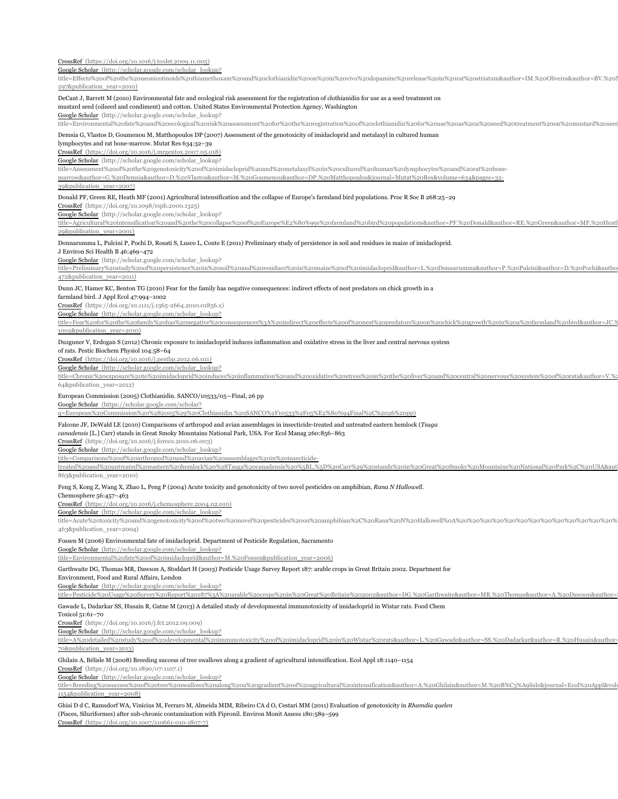### CrossRef (https://doi.org/10.1016/j.toxlet.2009.11.005)

## Google Scholar (http://scholar.google.com/scholar\_lookup?

title=Effects%200f%20the%20neonicotinoids%20thiamethoxam%20and%20clothianidin%20on%20in%20vivo%20dopamine%20release%20in%20rat%20atriatum&author=IM\_%20Qliveira&author=BV\_%20l 297&publication\_year=2010)

DeCant J, Barrett M (2010) Environmental fate and ecological risk assessment for the registration of clothianidin for use as a seed treatment on

### mustard seed (oilseed and condiment) and cotton. United States Environmental Protection Agency, Washington

Google Scholar (http://scholar.google.com/scholar\_lookup?

title=Environmental%20fate%20and%20ecological%20risk%20assessment%20for%20the%20registration%20of%20clothianidin%20for%20use%20as%20as%20as%20teatment%20on%20mustard%20seed

Demsia G, Vlastos D, Goumenou M, Matthopoulos DP (2007) Assessment of the genotoxicity of imidacloprid and metalaxyl in cultured human

### lymphocytes and rat bone-marrow. Mutat Res 634:32–39

CrossRef (https://doi.org/10.1016/j.mrgentox.2007.05.018)

Google Scholar (http://scholar.google.com/scholar\_lookup?

title=Assessment%20of%20the%20genotoxicity%20of%20imidacloprid%20and%20metalaxyl%20in%20cultured%20human%20lymphocytes%20and%20rat%20bone-

marrow&author=G.%20Demsia&author=D.%20Vlastos&author=M.%20Goumenou&author=DP.%20Matthopoulos&journal=Mutat%20Res&volume=634&pages=32-

### 39&publication\_year=2007)

Donald PF, Green RE, Heath MF (2001) Agricultural intensification and the collapse of Europe's farmland bird populations. Proc R Soc B 268:25–29

CrossRef (https://doi.org/10.1098/rspb.2000.1325)

Google Scholar (http://scholar.google.com/scholar\_lookup?

title=Agricultural%20intensification%20and%20the%20collapse%20of%20Europe%E2%80%99s%20farmland%20bird%20populations&author=PF.%20Donald&author=RE.%20Green&author=MF.%20Heat 29&publication\_year=2001)

Donnarumma L, Pulcini P, Pochi D, Rosati S, Lusco L, Conte E (2011) Preliminary study of persistence in soil and residues in maize of imidacloprid.

### J Environ Sci Health B 46:469–472

Google Scholar (http://scholar.google.com/scholar\_lookup?

title=Preliminary%20study%20of%20persistence%20in%20soil%20and%20residues%20in%20maize%20of%20imidacloprid&author=L.%20Donnarumma&author=P.%20Pulcini&author=D.%20Pochi&autho 472&publication\_year=2011)

Dunn JC, Hamer KC, Benton TG (2010) Fear for the family has negative consequences: indirect effects of nest predators on chick growth in a

### farmland bird. J Appl Ecol 47:994–1002

CrossRef (https://doi.org/10.1111/j.1365-2664.2010.01856.x)

Google Scholar (http://scholar.google.com/scholar\_lookup?

title=Fear%20for%20the%20family%20has%20negative%20consequences%3A%20indirect%20effects%20of%20nest%20predators%20on%20chick%20growth%20in%20a%20farmland%20bird&author=JC.9 1002&publication\_year=2010)

Duzguner V, Erdogan S (2012) Chronic exposure to imidacloprid induces inflammation and oxidative stress in the liver and central nervous system

### of rats. Pestic Biochem Physiol 104:58–64

CrossRef (https://doi.org/10.1016/j.pestbp.2012.06.011)

### Google Scholar (http://scholar.google.com/scholar\_lookup?

title=Chronic%20exposure%20to%20imidacloprid%20induces%20inflammation%20and%20oxidative%20stress%20in%20the%20liver%20and%20central%20nervous%20system%20of%20rats&author=V.% 64&publication\_year=2012)

### European Commission (2005) Clothianidin. SANCO/10533/05—Final, 26 pp

Google Scholar (https://scholar.google.com/scholar?

q=European%20Commission%20%282005%29%20Clothianidin.%20SANCO%2F10533%2F05%E2%80%94Final%2C%2026%20pp)

Falcone JF, DeWald LE (2010) Comparisons of arthropod and avian assemblages in insecticide-treated and untreated eastern hemlock (Tsuga

### canadensis [L.] Carr) stands in Great Smoky Mountains National Park, USA. For Ecol Manag 260:856–863

CrossRef (https://doi.org/10.1016/j.foreco.2010.06.003)

Google Scholar (http://scholar.google.com/scholar\_lookup?

title=Comparisons%20of%20arthropod%20and%20avian%20assemblages%20in%20insecticide-

treated%20and%20untreated%20eastern%20hemlock%20%28Tsuga%20canadensis%20%5BL%5D%20Carr%29%20stands%20in%20Great%20Smokv%20Mountains%20National%20Park%2C%20IJSA&aut 863&publication\_year=2010)

Feng S, Kong Z, Wang X, Zhao L, Peng P (2004) Acute toxicity and genotoxicity of two novel pesticides on amphibian, Rana N Hallowell.

## Chemosphere 56:457–463

CrossRef (https://doi.org/10.1016/j.chemosphere.2004.02.010)

### Google Scholar (http://scholar.google.com/scholar\_lookup?

title=Acute%20toxicity%20and%20genotoxicity%20of%20two%20novel%20pesticides%20on%20amphibian%2C%20Rana%20N%20Hallowell%0A%20%20%20%20%20%20%20%20%20%20%20%20%20%20%20%20%20%20%20%20%20%20%20%20%20%20%20&author=S.%20Feng&author=Z.%20Kong&author=X.%20Wang&author=L.%20Zhao&author=P.%20Peng&journal=Chemosphere&volume=56&pages=457- 463&publication\_year=2004)

### Fossen M (2006) Environmental fate of imidacloprid. Department of Pesticide Regulation, Sacramento

Google Scholar (http://scholar.google.com/scholar\_lookup?

tal%20fate%20of%20imidacloprid&author=M.%20Fossen&publication\_year=2006)

Garthwaite DG, Thomas MR, Dawson A, Stoddart H (2003) Pesticide Usage Survey Report 187: arable crops in Great Britain 2002. Department for

## Environment, Food and Rural Affairs, London

Google Scholar (http://scholar.google.com/scholar\_lookup?

title=Pesticide%20Usage%20Survey%20Report%20187%3A%20arable%20crops%20in%20Great%20Britain%202002&author=DG.%20Garthwaite&author=MR.%20Thomas&author=A.%20Dawson&author= Gawade L, Dadarkar SS, Husain R, Gatne M (2013) A detailed study of developmental immunotoxicity of imidacloprid in Wistar rats. Food Chem

### Toxicol 51:61–70

CrossRef (https://doi.org/10.1016/j.fct.2012.09.009)

Google Scholar (http://scholar.google.com/scholar\_lookup?

title=A%20detailed%20study%20of%20developmental%20immunotoxicity%20of%20imidacloprid%20in%20Wistar%20rats&author=L.%20Gawade&author=SS.%20Dadarkar&author=R.%20Husain&author=

### 70&publication\_year=2013)

Ghilain A, Bélisle M (2008) Breeding success of tree swallows along a gradient of agricultural intensification. Ecol Appl 18:1140–1154

### CrossRef (https://doi.org/10.1890/07-1107.1)

Google Scholar (http://scholar.google.com/scholar\_lookup?

title=Breeding%20success%20of%20tree%20swallows%20along%20a%20gradient%20of%20agricultural%20intensification&author=A.%20Ghilain&author=M.%20B%C3%A9lisle&journal=Ecol%20Appl&vol  $12008$ 

### Ghisi D d C, Ramsdorf WA, Vinícius M, Ferraro M, Almeida MIM, Ribeiro CA d O, Cestari MM (2011) Evaluation of genotoxicity in Rhamdia quelen

(Pisces, Siluriformes) after sub-chronic contamination with Fipronil. Environ Monit Assess 180:589–599

CrossRef (https://doi.org/10.1007/s10661-010-1807-7)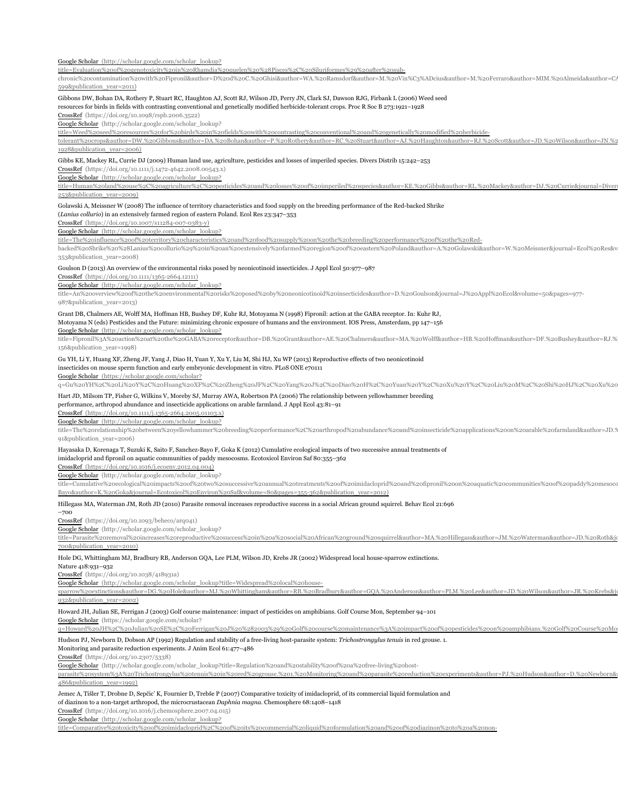### Google Scholar (http://scholar.google.com/scholar\_lookup?

### title=Evaluation%20of%20genotoxicity%20in%20Rhamdia%20quelen%20%28Pisces%2C%20Siluriformes%29%20after%20sub-

chronic%20contamination%20with%20Fipronil&author=D%20d%20C%20Ghisi&author=WA%20Ramsdorf&author=M%20Vin%C3%ADcjus&author=M.%20Ferraro&author=MM.%20Almeida&author=C 599&publication\_year=2011)

### Gibbons DW, Bohan DA, Rothery P, Stuart RC, Haughton AJ, Scott RJ, Wilson JD, Perry JN, Clark SJ, Dawson RJG, Firbank L (2006) Weed seed

resources for birds in fields with contrasting conventional and genetically modified herbicide-tolerant crops. Proc R Soc B 273:1921–1928

CrossRef (https://doi.org/10.1098/rspb.2006.3522)

Google Scholar (http://scholar.google.com/scholar\_lookup?

title=Weed%20seed%20resources%20for%20birds%20in%20fields%20with%20contrasting%20conventional%20and%20genetically%20modified%20herbicide-

tolerant%20crops&author=DW.%20Gibbons&author=DA.%20Bohan&author=P.%20Rothery&author=RC.%20Stuart&author=AJ.%20Haughton&author=RJ.%20Scott&author=JD.%20Wilson&author=JN.%20Bohan&author=P. 1928&publication\_year=2006)

Gibbs KE, Mackey RL, Currie DJ (2009) Human land use, agriculture, pesticides and losses of imperiled species. Divers Distrib 15:242–253

CrossRef (https://doi.org/10.1111/j.1472-4642.2008.00543.x)

Google Scholar (http://scholar.google.com/scholar\_lookup?

title=Human%20land%20use%2C%20agriculture%2C%20pesticides%20and%20losses%20of%20imperiled%20species&author=KE.%20Gibbs&author=RL.%20Mackey&author=DJ.%20Currie&journal=Diver  $ear=2009$ 

## Golawski A, Meissner W (2008) The influence of territory characteristics and food supply on the breeding performance of the Red-backed Shrike

(Lanius collurio) in an extensively farmed region of eastern Poland. Ecol Res 23:347–353

CrossRef (https://doi.org/10.1007/s11284-007-0383-y)

### Google Scholar (http://scholar.google.com/scholar\_lookup?

title=The%20influence%20of%20territory%20characteristics%20and%20food%20supply%20on%20the%20breeding%20performance%20of%20the%20Red-

backed%20Shrike%20%28Lanius%20collurio%29%20in%20an%20extensively%20farmed%20region%20of%20eastern%20Poland&author=A.%20Golawski&author=W.%20Meissner&journal=Ecol%20Res&v 353&publication\_year=2008)

Goulson D (2013) An overview of the environmental risks posed by neonicotinoid insecticides. J Appl Ecol 50:977–987

## CrossRef (https://doi.org/10.1111/1365-2664.12111)

Google Scholar (http://scholar.google.com/scholar\_lookup?

title=An%20overview%20of%20the%20environmental%20risks%20posed%20by%20neonicotinoid%20insecticides&author=D.%20Goulson&journal=J%20Appl%20Ecol&volume=50&pages=977- 987&publication\_year=2013)

Grant DB, Chalmers AE, Wolff MA, Hoffman HB, Bushey DF, Kuhr RJ, Motoyama N (1998) Fipronil: action at the GABA receptor. In: Kuhr RJ,

Motoyama N (eds) Pesticides and the Future: minimizing chronic exposure of humans and the environment. IOS Press, Amsterdam, pp 147–156

Google Scholar (http://scholar.google.com/scholar\_lookup?

title=Fipronil%3A%20action%20at%20the%20GABA%20receptor&author=DB.%20Grant&author=AE.%20Chalmers&author=MA.%20Wolff&author=HB.%20Hoffman&author=DF.%20Bushey&author=RJ.% 156&publication\_year=1998)

### Gu YH, Li Y, Huang XF, Zheng JF, Yang J, Diao H, Yuan Y, Xu Y, Liu M, Shi HJ, Xu WP (2013) Reproductive effects of two neonicotinoid insecticides on mouse sperm function and early embryonic development in vitro. PLoS ONE e70111

Google Scholar (https://scholar.google.com/scholar?

q=Gu%20YH%2C%20Li%20Y%2C%20Huang%20XF%2C%20Zheng%20JF%2C%20Yang%20J%2C%20Diao%20H%2C%20Yuan%20Y%2C%20Xu%20Y%2C%20Liu%20M%2C%20Shi%20HJ%2C%20Xu%2C

Hart JD, Milsom TP, Fisher G, Wilkins V, Moreby SJ, Murray AWA, Robertson PA (2006) The relationship between yellowhammer breeding

performance, arthropod abundance and insecticide applications on arable farmland. J Appl Ecol 43:81–91

## CrossRef (https://doi.org/10.1111/j.1365-2664.2005.01103.x)

Google Scholar (http://scholar.google.com/scholar\_lookup?

title=The%20relationship%20between%20yellowhammer%20breeding%20performance%2C%20arthropod%20abundance%20and%20insecticide%20applications%20on%20arable%20farmland&author=JD.9 91&publication\_year=2006)

### Hayasaka D, Korenaga T, Suzuki K, Saito F, Sanchez-Bayo F, Goka K (2012) Cumulative ecological impacts of two successive annual treatments of imidacloprid and fipronil on aquatic communities of paddy mesocosms. Ecotoxicol Environ Saf 80:355–362

CrossRef (https://doi.org/10.1016/j.ecoenv.2012.04.004)

Google Scholar (http://scholar.google.com/scholar\_lookup?

title=Cumulative%20ecological%20impacts%20of%20tw0%20successive%20annual%20treatments%20of%20imidacloprid%20and%20fipronil%20on%20aquatic%20communities%20of%20paddy%20mesocc Bayo&author=K.%20Goka&journal=Ecotoxicol%20Environ%20Saf&volume=80&pages=355-362&publication\_year=2012)

Hillegass MA, Waterman JM, Roth JD (2010) Parasite removal increases reproductive success in a social African ground squirrel. Behav Ecol 21:696

–700

CrossRef (https://doi.org/10.1093/beheco/arq041)

Google Scholar (http://scholar.google.com/scholar\_lookup?

title=Parasite%20removal%20increases%20reproductive%20success%20in%20a%20social%20African%20ground%20squirrel&author=MA.%20Hillegass&author=JM.%20Waterman&author=JD.%20Roth&journal= 700&publication\_year=2010)

Hole DG, Whittingham MJ, Bradbury RB, Anderson GQA, Lee PLM, Wilson JD, Krebs JR (2002) Widespread local house-sparrow extinctions.

Nature 418:931–932

CrossRef (https://doi.org/10.1038/418931a)

Google Scholar (http://scholar.google.com/scholar\_lookup?title=Widespread%20local%20house-

sparrow%20extinctions&author=DG.%20Hole&author=MJ.%20Whittingham&author=RB.%20Bradbury&author=GQA.%20Anderson&author=PLM.%20Lee&author=JD.%20Wilson&author=JR.%20Krebs&journal=Nature&volume=418&pages=931- 932&publication\_year=2002)

Howard JH, Julian SE, Ferrigan J (2003) Golf course maintenance: impact of pesticides on amphibians. Golf Course Mon, September 94–101

Google Scholar (https://scholar.google.com/scholar?

q=Howard%20JH%2C%20Julian%20SE%2C%20Ferrigan%20J%20%282003%29%20Golf%20course%20maintenance%3A%20impact%20of%20pesticides%20on%20amphibians

Hudson PJ, Newborn D, Dobson AP (1992) Regulation and stability of a free-living host-parasite system: Trichostrongylus tenuis in red grouse. 1.

Monitoring and parasite reduction experiments. J Anim Ecol 61:477–486

CrossRef (https://doi.org/10.2307/5338)

Google Scholar (http://scholar.google.com/scholar\_lookup?title=Regulation%20and%20stability%20of%20a%20free-living%20host-

parasite%20system%3A%20Trichostrongylus%20tenuis%20in%20red%20grouse.%201.%20Monitoring%20and%20parasite%20reduction%20experiments&author=PJ.%20Hudson&author=D.%20Newborn& 486&publication\_year=1992)

# Jemec A, Tišler T, Drobne D, Sepčic' K, Fournier D, Trebše P (2007) Comparative toxicity of imidacloprid, of its commercial liquid formulation and

of diazinon to a non-target arthropod, the microcrustacean Daphnia magna. Chemosphere 68:1408–1418

CrossRef (https://doi.org/10.1016/j.chemosphere.2007.04.015) Google Scholar (http://scholar.google.com/scholar\_lookup?

icity%20of%20imidacloprid%2C%20of%20its%20commercial%20liquid%20formulation%20and%20of%20diazinon%20to%20a%20n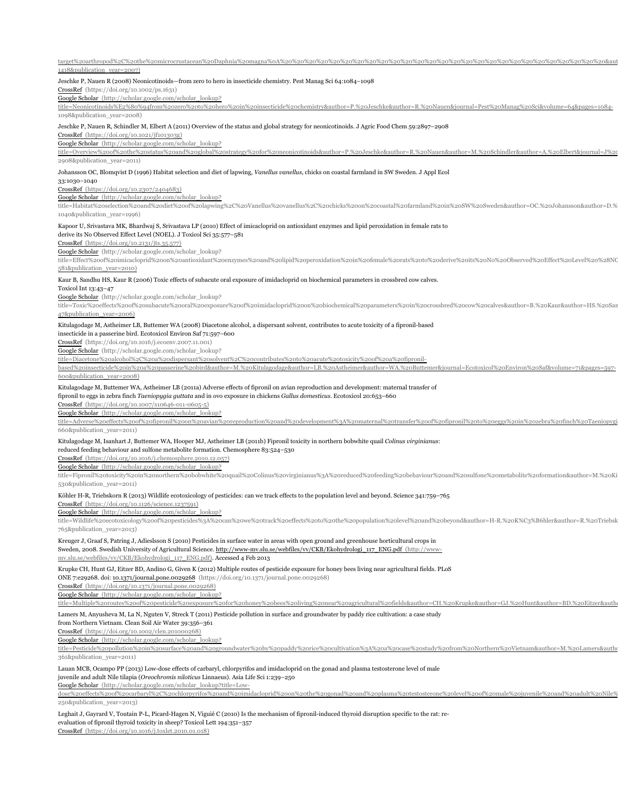### target%20arthropod%2C%20the%20microcrustacean%20Daphnia%20magna%0A%20%20%20%20%20%20%20%20%20%20%20%20%20%20%20%20%20%20%20%20%20%20%20%20%20%20%20&author=A.%20Jemec&author=T.%20Ti%C5%A1ler&author=D.%20Drobne&author=K.%20Sep%C4%8Dic%E2%80%99&author=D.%20Fournier&author=P.%20Treb%C5%A1e&journal=Chemosphere&volume=68&pages=1408 ublication\_vear=2007)

Jeschke P, Nauen R (2008) Neonicotinoids—from zero to hero in insecticide chemistry. Pest Manag Sci 64:1084–1098

CrossRef (https://doi.org/10.1002/ps.1631)

## Google Scholar (http://scholar.google.com/scholar\_lookup?

title=Neonicotinoids%E2%80%94from%20zero%20to%20hero%20in%20insecticide%20chemistry&author=P.%20Jeschke&author=R.%20Nauen&journal=Pest%20Manag%20Sci&volume=64&pages=1084- 1098&publication\_year=2008)

Jeschke P, Nauen R, Schindler M, Elbert A (2011) Overview of the status and global strategy for neonicotinoids. J Agric Food Chem 59:2897–2908

### CrossRef (https://doi.org/10.1021/jf101303g)

Google Scholar (http://scholar.google.com/scholar\_lookup?

title=Overview%20of%20the%20status%20and%20global%20strategy%20for%20neonicotinoids&author=P.%20Jeschke&author=R.%20Nauen&author=M.%20Schindler&author=A.%20Elbert&journal=J%20 2908&publication\_year=2011)

Johansson OC, Blomqvist D (1996) Habitat selection and diet of lapwing, Vanellus vanellus, chicks on coastal farmland in SW Sweden. J Appl Ecol

### 33:1030–1040

CrossRef (https://doi.org/10.2307/2404683)

Google Scholar (http://scholar.google.com/scholar\_lookup?

title=Habitat%2oselection%2oand%2odiet%2oof%2olapwing%2C%2oVanellus%20wanellus%2C%2ochicks%2oon%2ocoastal%2ofarmland%2oin%2oSW%2oSweden&author=OC.%2oJohansson&author=D.% 1040&publication\_year=1996)

### Kapoor U, Srivastava MK, Bhardwaj S, Srivastava LP (2010) Effect of imicacloprid on antioxidant enzymes and lipid peroxidation in female rats to

derive its No Observed Effect Level (NOEL). J Toxicol Sci 35:577–581

### CrossRef (https://doi.org/10.2131/jts.35.577)

Google Scholar (http://scholar.google.com/scholar\_lookup?

title=Effect%20of%20imicacloprid%20on%20antioxidant%20enzymes%20and%20lipid%20peroxidation%20in%20female%20rats%20to%20derive%20its%20No%20Observed%20Effect%20Level%20%28N( 581&publication\_year=2010)

Kaur B, Sandhu HS, Kaur R (2006) Toxic effects of subacute oral exposure of imidacloprid on biochemical parameters in crossbred cow calves.

### Toxicol Int 13:43–47

Google Scholar (http://scholar.google.com/scholar\_lookup?

title=Toxic%20effects%20of%20subacute%20oral%20exposure%20of%20imidacloprid%20on%20biochemical%20parameters%20in%20crossbred%20cow%20calves&author=B.%20Kaur&author=HS.%20Sar 47&publication\_year=2006)

# Kitulagodage M, Astheimer LB, Buttemer WA (2008) Diacetone alcohol, a dispersant solvent, contributes to acute toxicity of a fipronil-based

insecticide in a passerine bird. Ecotoxicol Environ Saf 71:597–600

### CrossRef (https://doi.org/10.1016/j.ecoenv.2007.11.001)

Google Scholar (http://scholar.google.com/scholar\_lookup?

title=Diacetone%20alcohol%2C%20a%20dispersant%20solvent%2C%20contributes%20to%20acute%20toxicity%20of%20a%20fipronil-

based%20insecticide%20in%20a%20passerine%20bird&author=M.%20Kitulagodage&author=LB.%20Astheimer&author=WA.%20Butten 600&publication\_year=2008)

Kitulagodage M, Buttemer WA, Astheimer LB (2011a) Adverse effects of fipronil on avian reproduction and development: maternal transfer of

fipronil to eggs in zebra finch Taeniopygia guttata and in ovo exposure in chickens Gallus domesticus. Ecotoxicol 20:653–660

### CrossRef (https://doi.org/10.1007/s10646-011-0605-5)

Google Scholar (http://scholar.google.com/scholar\_lookup?

# =Adverse%20effects%20of%20fipronil%20on%20avian%20reproduction%20and%20development%3A%20maternal%20transfer%20

660&publication\_year=2011)

Kitulagodage M, Isanhart J, Buttemer WA, Hooper MJ, Astheimer LB (2011b) Fipronil toxicity in northern bobwhite quail Colinus virginianus:

### reduced feeding behaviour and sulfone metabolite formation. Chemosphere 83:524–530

CrossRef (https://doi.org/10.1016/j.chemosphere.2010.12.057)

### Google Scholar (http://scholar.google.com/scholar\_lookup?

title=Fipronil%2otoxicity%2oin%2onorthern%2obobwhite%2oquail%2oColinus%2ovirginianus%3A%2oreduced%2ofeeding%2obehaviour%2oand%2osulfone%2ometabolite%2oformation&author=M.%2oKi 530&publication\_year=2011)

Köhler H-R, Triebskorn R (2013) Wildlife ecotoxicology of pesticides: can we track effects to the population level and beyond. Science 341:759–765

### CrossRef (https://doi.org/10.1126/science.1237591)

Google Scholar (http://scholar.google.com/scholar\_lookup?

title=Wildlife%20ecotoxicology%20of%20pesticides%3A%20can%20we%20track%20effects%20to%20the%20population%20level%20and%20beyond&author=H-R.%20K%C3%B6hler&author=R.%20Triebsk 765&publication\_year=2013)

Kreuger J, Graaf S, Patring J, Adieslsson S (2010) Pesticides in surface water in areas with open ground and greenhouse horticultural crops in Sweden, 2008. Swedish University of Agricultural Science. http://www-mv.slu.se/webfiles/vv/CKB/Ekohydrologi\_117\_ENG.pdf (http://www-

### v.slu.se/webfiles/vv/CKB/Ekohydrologi\_117\_ENG.pdf). Accessed 4 Feb 2013

Krupke CH, Hunt GJ, Eitzer BD, Andino G, Given K (2012) Multiple routes of pesticide exposure for honey bees living near agricultural fields. PLoS

ONE 7:e29268. doi: 10.1371/journal.pone.0029268 (https://doi.org/10.1371/journal.pone.0029268)

CrossRef (https://doi.org/10.1371/journal.pone.0029268)

Google Scholar (http://scholar.google.com/scholar\_lookup?

title=Multiple%20routes%20of%20pesticide%20exposure%20for%20honev%20bees%20living%20near%20agricultural%20fields&author=CH.%20Krupke&author=GJ.%20Hunt&author=BD.%20Eitz

Lamers M, Anyusheva M, La N, Nguten V, Streck T (2011) Pesticide pollution in surface and groundwater by paddy rice cultivation: a case study

## from Northern Vietnam. Clean Soil Air Water 39:356–361

CrossRef (https://doi.org/10.1002/clen.201000268)

Google Scholar (http://scholar.google.com/scholar\_lookup? title=Pesticide%20pollution%20in%20surface%20and%20groundwater%20by%20paddy%20rice%20cultivation%3A%20a%20case%20study%20from%20Northern%20Vietnam&author=M.%20Lamers&author=M.%20Anyusheva&author=N.%20La&author=V.%20Nguten&author=T.%20Streck&journal=Clean%20Soil%20Air%20Water&volume=39&pages=356-

361&publication\_year=2011)

Lauan MCB, Ocampo PP (2013) Low-dose effects of carbaryl, chlorpyrifos and imidacloprid on the gonad and plasma testosterone level of male

juvenile and adult Nile tilapia (Oreochromis niloticus Linnaeus). Asia Life Sci 1:239–250

Google Scholar (http://scholar.google.com/scholar\_lookup?title=Low-

hoof%20carbaryl%2C%20chlorpyrifos%20and%20imidaeloprid%20on%20the%20gonad%20and%20plasma%20testost& 250&publication\_year=2013)

Leghait J, Gayrard V, Toutain P-L, Picard-Hagen N, Viguié C (2010) Is the mechanism of fipronil-induced thyroid disruption specific to the rat: re-

evaluation of fipronil thyroid toxicity in sheep? Toxicol Lett 194:351–357

CrossRef (https://doi.org/10.1016/j.toxlet.2010.01.018)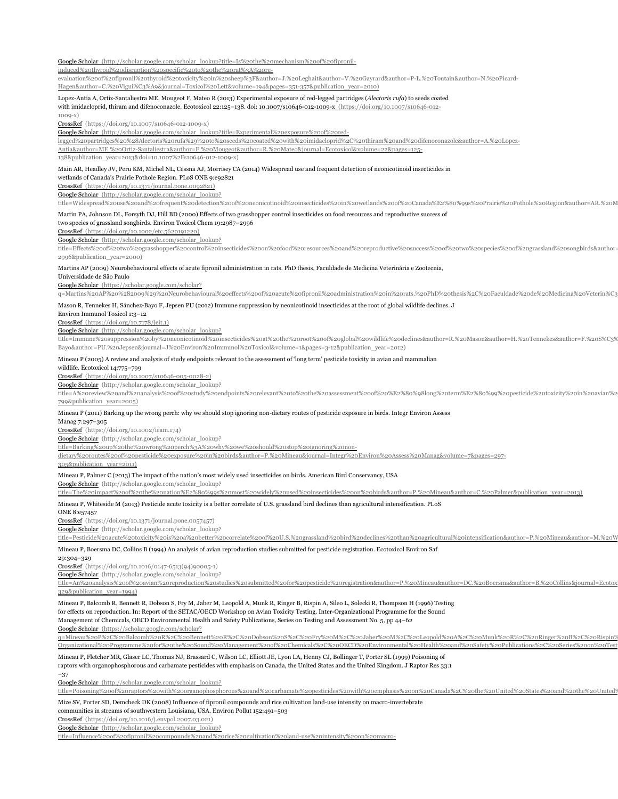### Google Scholar (http://scholar.google.com/scholar\_lookup?title=Is%20the%20n

induced%20thyroid%20disruption%20specific%20to%20the%20rat%3A%20re-

evaluation%20of%20fipronil%20thyroid%20toxicity%20in%20sheep%3F&author=J.%20Leghait&author=V.%20Gayrard&author=P-L.%20Toutain&author=N.%20Picard-

Hagen&author=C.%20Vigui%C3%A9&journal=Toxicol%20Lett&volume=194&pages=351-357&publication\_year=2010)

## Lopez-Antia A, Ortiz-Santaliestra ME, Mougeot F, Mateo R (2013) Experimental exposure of red-legged partridges (Alectoris rufa) to seeds coated

with imidacloprid, thiram and difenoconazole. Ecotoxicol 22:125–138. doi: 10.1007/s10646-012-1009-x (https://doi.org/10.1007/s10646-012-

### 1009-x)

CrossRef (https://doi.org/10.1007/s10646-012-1009-x)

Google Scholar (http://scholar.google.com/scholar\_lookup?title=Experimental%20exposure%20of%20red-

legged%20partridges%20%28Alectoris%20rufa%29%20to%20seeds%20coated%20with%20imidacloprid%2C%20thiram%20and%20difenoconazole&author=A.%20Lopez-

Antia&author=ME.%20Ortiz-Santaliestra&author=F.%20Mougeot&author=R.%20Mateo&journal=Ecotoxicol&volume=22&pages=125-

138&publication\_year=2013&doi=10.1007%2Fs10646-012-1009-x)

Main AR, Headley JV, Peru KM, Michel NL, Cessna AJ, Morrisey CA (2014) Widespread use and frequent detection of neonicotinoid insecticides in

wetlands of Canada's Prairie Pothole Region. PLoS ONE 9:e92821

CrossRef (https://doi.org/10.1371/journal.pone.0092821)

Google Scholar (http://scholar.google.com/scholar\_lookup?

title=Widespread%20use%20and%20frequent%20detection%20of%20neonicotinoid%20insecticides%20in%20wetlands%20of%20Canada%E2%80%99s%20Prairie%20Pothole%20Region&author=AR.%20M

Martin PA, Johnson DL, Forsyth DJ, Hill BD (2000) Effects of two grasshopper control insecticides on food resources and reproductive success of

### two species of grassland songbirds. Environ Toxicol Chem 19:2987–2996

CrossRef (https://doi.org/10.1002/etc.5620191220)

### Google Scholar (http://scholar.google.com/scholar\_lookup?

title=Effects%20of%20tw0%20grasshopper%20control%20insecticides%20on%20food%20resources%20and%20reproductive%20success%20of%20tw0%20species%20of%20grassland%20songbirds&author 2996&publication\_year=2000)

Martins AP (2009) Neurobehavioural effects of acute fipronil administration in rats. PhD thesis, Faculdade de Medicina Veterinária e Zootecnia,

### Universidade de São Paulo

Google Scholar (https://scholar.google.com/scholar?

g=Martins%20AP%20%282009%29%20Neurobehavioural%20effects%20of%20acute%20fipronil%20administration%20in%20rats.%20PhD%20thesis%2C%20Faculdade%20de%20Medicina%20Veterin%C3

Mason R, Tennekes H, Sánchez-Bayo F, Jepsen PU (2012) Immune suppression by neonicotinoid insecticides at the root of global wildlife declines. J

### Environ Immunol Toxicol 1:3–12

CrossRef (https://doi.org/10.7178/jeit.1)

### Google Scholar (http://scholar.google.com/scholar\_lookup?

title=Immune%20suppression%20by%20neonicotinoid%20insecticides%20at%20the%20root%20global%20wildlife%20declines&author=R.%20Mason&author=H.%20Tennekes&author=F.%20S%C3% Bayo&author=PU.%20Jepsen&journal=J%20Environ%20Immunol%20Toxicol&volume=1&pages=3-12&publication\_year=2012)

# Mineau P (2005) A review and analysis of study endpoints relevant to the assessment of 'long term' pesticide toxicity in avian and mammalian

wildlife. Ecotoxicol 14:775–799

## CrossRef (https://doi.org/10.1007/s10646-005-0028-2)

## Google Scholar (http://scholar.google.com/scholar\_lookup?

title=A%20review%20and%20analysis%20of%20study%20endpoints%20relevant%20to%20the%20assessment%20of%20%E2%80%98long%20term%E2%80%99%20pesticide%20toxicity%20in%20avian%2 799&publication\_year=2005)

Mineau P (2011) Barking up the wrong perch: why we should stop ignoring non-dietary routes of pesticide exposure in birds. Integr Environ Assess

### Manag 7:297–305

CrossRef (https://doi.org/10.1002/ieam.174)

### Google Scholar (http://scholar.google.com/scholar\_lookup?

title=Barking%20up%20the%20wrong%20perch%3A%20why%20we%20should%20stop%20ignoring%20non-

dietary%20routes%20of%20pesticide%20exposure%20in%20birds&author=P.%20Mineau&journal=Integr%20Environ%20Assess%20Manag&volume=7&pages=297-

### 305&publication\_year=2011)

Mineau P, Palmer C (2013) The impact of the nation's most widely used insecticides on birds. American Bird Conservancy, USA

Google Scholar (http://scholar.google.com/scholar\_lookup?

title=The%20impact%20of%20the%20nation%E2%80%99s%20most%20widely%20used%20insecticides%20on%20birds&author=P.%20Mineau&author=C.%20Palmer&publication\_year=2013)

### Mineau P, Whiteside M (2013) Pesticide acute toxicity is a better correlate of U.S. grassland bird declines than agricultural intensification. PLoS

### ONE 8:e57457

CrossRef (https://doi.org/10.1371/journal.pone.0057457)

Google Scholar (http://scholar.google.com/scholar\_lookup?

.<br>20toxicity%20is%20a%20better%20correlate%20of%20U.S.%20grassland%20bird%20declines%20than%20agricultural%20intensification&author=P.%20Mineau&author=M.%20W

Mineau P, Boersma DC, Collins B (1994) An analysis of avian reproduction studies submitted for pesticide registration. Ecotoxicol Environ Saf

### 29:304–329

CrossRef (https://doi.org/10.1016/0147-6513(94)90005-1)

Google Scholar (http://scholar.google.com/scholar\_lookup?

title=An%20analysis%20of%20avian%20reproduction%20studies%20submitted%20for%20pesticide%20registration&author=P.%20Mineau&author=DC.%20Boersma&author=B.%20Collins&journal=Ecotox  $var=100A$ 

Mineau P, Balcomb R, Bennett R, Dobson S, Fry M, Jaber M, Leopold A, Munk R, Ringer B, Rispin A, Sileo L, Solecki R, Thompson H (1996) Testing for effects on reproduction. In: Report of the SETAC/OECD Workshop on Avian Toxicity Testing. Inter-Organizational Programme for the Sound Management of Chemicals, OECD Environmental Health and Safety Publications, Series on Testing and Assessment No. 5, pp 44–62

### Google Scholar (https://scholar.google.com/scholar?

g=Mineau%20P%2C%20Balcomb%20R%2C%20Bennett%20R%2C%20Dobson%20S%2C%20Frv%20M%2C%20Jaber%20M%2C%20Leopold%20A%2C%20Munk%20R%2C%20Ringer%20B%2C%20Rispin% Organizational%20Programme%20for%20the%20Sound%20Management%20of%20Chemicals%2C%20OECD%20Environmental%20Health%20and%20Safety%20Publications%2C%20Series%20on%20Test

Mineau P, Fletcher MR, Glaser LC, Thomas NJ, Brassard C, Wilson LC, Elliott JE, Lyon LA, Henny CJ, Bollinger T, Porter SL (1999) Poisoning of

raptors with organophosphorous and carbamate pesticides with emphasis on Canada, the United States and the United Kingdom. J Raptor Res 33:1

### –37

### Google Scholar (http://scholar.google.com/scholar\_lookup?

title=Poisoning%20of%20raptors%20with%20organophosphorous%20and%20carbamate%20pesticides%20with%20emphasis%20on%20Canada%2C%20the%20United%20States%20and%20the%20United%

Mize SV, Porter SD, Demcheck DK (2008) Influence of fipronil compounds and rice cultivation land-use intensity on macro-invertebrate

communities in streams of southwestern Louisiana, USA. Environ Pollut 152:491–503

# CrossRef (https://doi.org/10.1016/j.envpol.2007.03.021)

Google Scholar (http://scholar.google.com/scholar\_lookup?

title=Influence%20of%20fipronil%20compounds%20and%20rice%20cultivation%20land-use%20intensity%20on%20macro-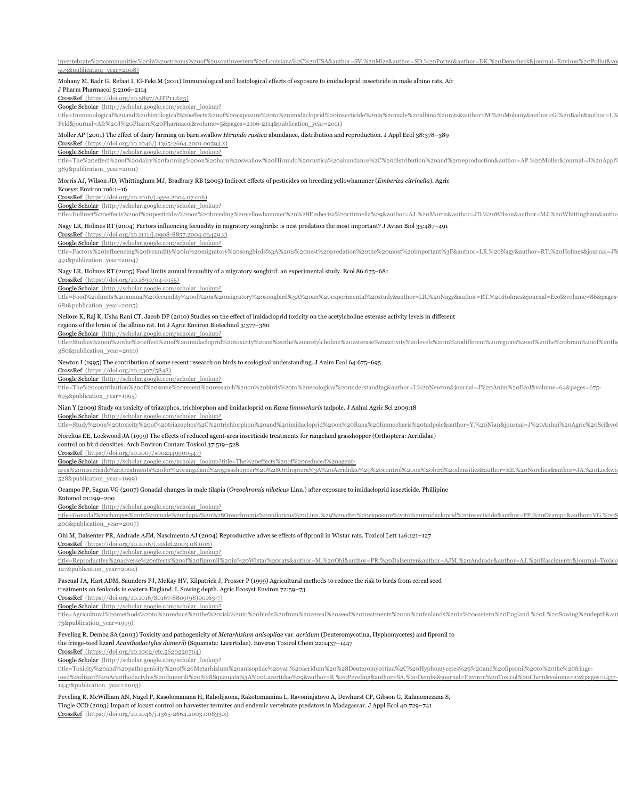### ation\_vear=2008)

Mohany M, Badr G, Refaat I, El-Feki M (2011) Immunological and histological effects of exposure to imidacloprid insecticide in male albino rats. Afr

J Pharm Pharmacol 5:2106–2114

## CrossRef (https://doi.org/10.5897/AJPP11.625)

Google Scholar (http://scholar.google.com/scholar\_lookup?

title=Immunological%20and%20histological%20effects%20of%20exposure%20to%20imidacloprid%20insecticide%20in%20male%20albino%20rats&author=M.%20Mohany&author=G.%20Badr&author=I.% Feki&journal=Afr%20J%20Pharm%20Pharmacol&volume=5&pages=2106-2114&publication\_year=2011)

tern%20Louisiana%2C%20USA&author=SV.%20Mize&author=SD.%20Porter&author=DK.%20De

Moller AP (2001) The effect of dairy farming on barn swallow Hirundo rustica abundance, distribution and reproduction. J Appl Ecol 38:378–389

CrossRef (https://doi.org/10.1046/j.1365-2664.2001.00593.x)

Google Scholar (http://scholar.google.com/scholar\_lookup?

title=The%20effect%20of%20dairy%20farming%20on%20barn%20swallow%20Hirundo%20rustica%20abundance%2C%20distribution%20and%20reproduction&author=AP.%20Moller&journal=J%20Appl 389&publication\_year=2001)

Morris AJ, Wilson JD, Whittingham MJ, Bradbury RB (2005) Indirect effects of pesticides on breeding yellowhammer (Emberiza citrinella). Agric

Ecosyst Environ 106:1–16

CrossRef (https://doi.org/10.1016/j.agee.2004.07.016)

Google Scholar (http://scholar.google.com/scholar\_lookup?

title=Indirect%20effects%20of%20pesticides%20on%20breeding%20yellowhammer%20%28Emberiza%20citrinella%29&author=AJ.%20Morris&author=JD.%20Wilson&author=MJ.%20Wilittingham&autho

Nagy LR, Holmes RT (2004) Factors influencing fecundity in migratory songbirds: is nest predation the most important? J Avian Biol 35:487–491

CrossRef (https://doi.org/10.1111/j.0908-8857.2004.03429.x)

Google Scholar (http://scholar.google.com/scholar\_lookup?

title=Factors%20influencing%20fecundity%20in%20migratory%20songbirds%3A%20is%20nest%20predation%20the%20most%20important%3F&author=LR.%20Nagy&author=RT.%20Holmes&journal=J% 491&publication\_year=2004)

### Nagy LR, Holmes RT (2005) Food limits annual fecundity of a migratory songbird: an experimental study. Ecol 86:675–681

CrossRef (https://doi.org/10.1890/04-0155)

Google Scholar (http://scholar.google.com/scholar\_lookup?

title=Food%20limits%20annual%20fecundity%20of%20a%20migratory%20songbird%3A%20an%20experimental%20study&author=LR.%20Nagy&author=RT.%20Holmes&journal=Ecol&volume=86&pages=675- 681&publication\_year=2005)

Nellore K, Raj K, Usha Rani CT, Jacob DP (2010) Studies on the effect of imidacloprid toxicity on the acetylcholine esterase activity levels in different

regions of the brain of the albino rat. Int J Agric Environ Biotechnol 3:377–380

Google Scholar (http://scholar.google.com/scholar\_lookup?

title=Studies%20on%20the%20effect%20of%20imidacloprid%20toxicity%20on%20the%20acetylcholine%20esterase%20activity%20levels%20in%20different%20regions%20of%20the%20brain%20of%20the 380&publication\_year=2010)

### Newton I (1995) The contribution of some recent research on birds to ecological understanding. J Anim Ecol 64:675–695

CrossRef (https://doi.org/10.2307/5848)

Google Scholar (http://scholar.google.com/scholar\_lookup?

title=The%20contribution%20of%20some%20recent%20research%20on%20birds%20to%20ecological%20understanding&author=I.%20Newton&journal=J%20Anim%20Ecol&volume=64&pages=675- 695&publication\_year=1995)

Nian Y (2009) Study on toxicity of triazophos, trichlorphon and imidacloprid on Rana limnocharis tadpole. J Anhui Agric Sci 2009:18

Google Scholar (http://scholar.google.com/scholar\_lookup?

title=Study%20on%20toxicity%20of%20triazophos%2C%20trichlorphon%20and%20imidacloprid%20on%20Rana%20limnocharis%20tadpole&author=Y.%20Nian&journal=J%20Anhui%20Agric%20Sci&volume=2009&pages=18&publication\_year=2009)

Norelius EE, Lockwood JA (1999) The effects of reduced agent-area insecticide treatments for rangeland grasshopper (Orthoptera: Acrididae)

# control on bird densities. Arch Environ Contam Toxicol 37:519–528

CrossRef (https://doi.org/10.1007/s002449900547)

Google Scholar (http://scholar.google.com/scholar\_lookup?title=The%20effects%20of%20reduced%20agent-

area%20insecticide%20treatments%20for%20rangeland%20grasshopper%20%28Orthoptera%3A%20Acrididae%29%20control%20on%20bird%20densities&author=EE.%20Norelius&author=JA.%20Lockwc 528&publication\_year=1999)

Ocampo PP, Sagun VG (2007) Gonadal changes in male tilapia (Oreochromis niloticus Linn.) after exposure to imidacloprid insecticide. Phillipine

### Entomol 21:199–200

Google Scholar (http://scholar.google.com/scholar\_lookup?

title=Gonadal%2ochanges%2oin%2omale%2otilapia%2o%28Oreochromis%2oniloticus%2oLinn.%29%2oafter%2oexposure%2oto%2oimidacloprid%2oinsecticide&author=PP.%2OOcampo&author=VG.%2oS

200&publication\_year=2007)

Ohi M, Dalsenter PR, Andrade AJM, Nascimento AJ (2004) Reproductive adverse effects of fipronil in Wistar rats. Toxicol Lett 146:121–127

CrossRef (https://doi.org/10.1016/j.toxlet.2003.08.008)

Google Scholar (http://scholar.google.com/scholar\_lookup?

title=Reproductive%20adverse%20effects%20of%20fipronil%20in%20Wistar%20rats&author=M.%20Dhi&author=PR.%20Dalsenter&author=AJM.%20Andrade&author=AJ.%20Nascimento&journal=Toxicc 127&publication\_year=2004)

Pascual JA, Hart ADM, Saunders PJ, McKay HV, Kilpatrick J, Prosser P (1999) Agricultural methods to reduce the risk to birds from cereal seed

treatments on fenlands in eastern England. I. Sowing depth. Agric Ecosyst Environ 72:59–73

CrossRef (https://doi.org/10.1016/S0167-8809(98)00163-7)

Google Scholar (http://scholar.google.com/scholar\_lookup?

title=Agricultural%20methods%20to%20reduce%20the%20risk%20to%20birds%20from%20cereal%20seed%20treatments%20on%20fenlands%20in%20eastern%20England.%20I.%20Sowing%20depth&au 73&publication\_year=1999)

Peveling R, Demba SA (2003) Toxicity and pathogenicity of Metarhizium anisopliae var. acridum (Deuteromycotina, Hyphomycetes) and fipronil to the fringe-toed lizard Acanthodactylus dumerili (Squamata: Lacertidae). Environ Toxicol Chem 22:1437–1447

CrossRef (https://doi.org/10.1002/etc.5620220704)

Google Scholar (http://scholar.google.com/scholar\_lookup?

title=Toxicity%20and%20pathogenicity%20of%20Metarhizium%20anisopliae%20var.%20acridum%20%28Deuteromycotina%2C%20Hyphomycetes%29%20and%20fipronil%20to%20the%20fringe-

toed%20lizard%20Acanthodactylus%20dumerili%20%28Squamata%3A%20Lacertidae%29&author=R.%20Peveling&author=SA.%20Demba&journal=Environ%20Toxicol%20Chem&volume=22&pages=1437- 1447&publication\_year=2003)

## Peveling R, McWilliam AN, Nagel P, Rasolomanana H, Raholijaona, Rakotomianina L, Ravoninjatovo A, Dewhurst CF, Gibson G, Rafanomezana S,

Tingle CCD (2003) Impact of locust control on harvester termites and endemic vertebrate predators in Madagascar. J Appl Ecol 40:729–741

CrossRef (https://doi.org/10.1046/j.1365-2664.2003.00833.x)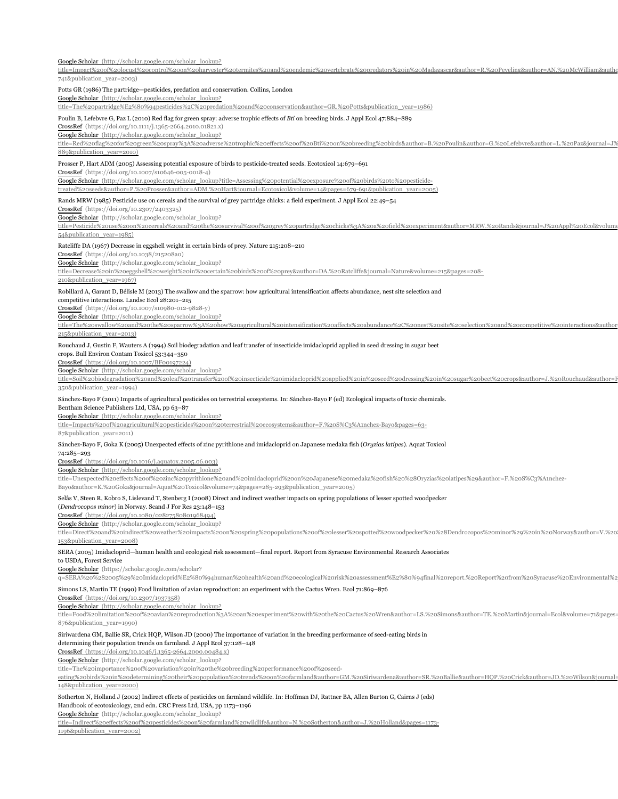<u>title=Impact%20of%20locust%20control%20on%20harvester%20termites%20and%20endemic%20vertebrate%20predators%20in%20Madagascar&author=R.%20Peveling&author=AN.%20McWilliam&autho</u> 741&publication\_year=2003)

Potts GR (1986) The partridge—pesticides, predation and conservation. Collins, London

Google Scholar (http://scholar.google.com/scholar\_lookup?

title=The%20partridge%E2%80%94pesticides%2C%20predation%20and%20conservation&author=GR.%20Potts&publication\_year=1986)

Poulin B, Lefebvre G, Paz L (2010) Red flag for green spray: adverse trophic effects of Bti on breeding birds. J Appl Ecol 47:884–889

CrossRef (https://doi.org/10.1111/j.1365-2664.2010.01821.x)

### Google Scholar (http://scholar.google.com/scholar\_lookup?

title=Red%20flag%20for%20green%20spray%3A%20adverse%20trophic%20effects%20of%20Bti%20on%20breeding%20birds&author=B.%20Poulin&author=G.%20Lefebvre&author=L.%20Paz&journal=J% 889&publication\_year=2010)

Prosser P, Hart ADM (2005) Assessing potential exposure of birds to pesticide-treated seeds. Ecotoxicol 14:679–691

CrossRef (https://doi.org/10.1007/s10646-005-0018-4) Google Scholar (http://schola

treated%20seeds&author=P.%20Prosser&author=ADM.%20Hart&journal=Ecotoxicol&volume=14&pages=679-691&publication\_year=2005)

Rands MRW (1985) Pesticide use on cereals and the survival of grey partridge chicks: a field experiment. J Appl Ecol 22:49–54

CrossRef (https://doi.org/10.2307/2403325) Google Scholar (http://scholar.google.com/scholar\_lookup?

title=Pesticide%20use%20on%20cereals%20and%20the%20survival%20of%20grey%20partridge%20chicks%3A%20a%20field%20experiment&author=MRW.%20Rands&journal=J%20Appl%20Ecol&volume=22&pages=49-

### 54&publication\_year=1985)

Ratcliffe DA (1967) Decrease in eggshell weight in certain birds of prey. Nature 215:208–210

CrossRef (https://doi.org/10.1038/215208a0)

Google Scholar (http://scholar.google.com/scholar\_lookup?

title=Decrease%20in%20eggshell%20weight%20in%20certain%20birds%20of%20prey&author=DA.%20Ratcliffe&journal=Nature&volume=215&pages=208-

### 210&publication\_year=1967)

Robillard A, Garant D, Bélisle M (2013) The swallow and the sparrow: how agricultural intensification affects abundance, nest site selection and

### competitive interactions. Landsc Ecol 28:201–215

CrossRef (https://doi.org/10.1007/s10980-012-9828-y)

Google Scholar (http://scholar.google.com/scholar\_lookup?

title=The%20swallow%20and%20the%20sparrow%3A%20how%20agricultural%20intensification%20affects%20abundance%2C%20nest%20site%20site%20selection%20and%20competitive%20interactions&author 215&publication\_year=2013)

Rouchaud J, Gustin F, Wauters A (1994) Soil biodegradation and leaf transfer of insecticide imidacloprid applied in seed dressing in sugar beet crops. Bull Environ Contam Toxicol 53:344–350

 $CrossRef$  (https://doi.org/10.1007/BF00197

Google Scholar (http://scholar.google.com/scholar\_lookup?

title=Soil%2obiodegradation%2oand%2oleaf%2otransfer%2oof%2oinsecticide%2oimidacloprid%2oapplied%2oin%2oseed%2odressing%2oin%2osugar%2obeet%2ocrops&author=J.%2oRouchaud&author=I 350&publication\_year=1994)

Sánchez-Bayo F (2011) Impacts of agricultural pesticides on terrestrial ecosystems. In: Sánchez-Bayo F (ed) Ecological impacts of toxic chemicals.

### Bentham Science Publishers Ltd, USA, pp 63–87

Google Scholar (http://scholar.google.com/scholar\_lookup?

title=Impacts%20of%20agricultural%20pesticides%20on%20terrestrial%20ecosystems&author=F.%20S%C3%A1nchez-Bayo&pages=63-

### 87&publication\_year=2011)

Sánchez-Bayo F, Goka K (2005) Unexpected effects of zinc pyrithione and imidacloprid on Japanese medaka fish (Oryzias latipes). Aquat Toxicol

74:285–293

CrossRef (https://doi.org/10.1016/j.aquatox.2005.06.003)

Google Scholar (http://scholar.google.com/scholar\_lookup?

title=Unexpected%20effects%20of%20zinc%20pyrithione%20and%20imidacloprid%20on%20Japanese%20medaka%20fish%20%28Oryzias%20latipes%29&author=F.%20S%C3%A1nchez-Bayo&author=K.%20Goka&journal=Aquat%20Toxicol&volume=74&pages=285-293&publication\_year=2005)

Selås V, Steen R, Kobro S, Lislevand T, Stenberg I (2008) Direct and indirect weather impacts on spring populations of lesser spotted woodpecker

(Dendrocopos minor) in Norway. Scand J For Res 23:148–153

# CrossRef (https://doi.org/10.1080/02827580801968494)

Google Scholar (http://scholar.google.com/scholar\_lookup?

title=Direct%20and%20indirect%20weather%20impacts%20on%20spring%20populations%20of%20lesser%20spotted%20woodpecker%20%28Dendrocopos%20minor%29%20in%20Norway&author=V.%20 153&publication\_year=2008)

SERA (2005) Imidacloprid—human health and ecological risk assessment—final report. Report from Syracuse Environmental Research Associates

## to USDA, Forest Service

Google Scholar (https://scholar.google.com/scholar?

q=SERA%20%282005%29%20Imidacloprid%E2%80%94human%20health%20and%20ecological%20risk%20assessment%E2%80%94final%20report.%20Report%20from%20Syracuse%20Environmental%2

Simons LS, Martin TE (1990) Food limitation of avian reproduction: an experiment with the Cactus Wren. Ecol 71:869–876

### CrossRef (https://doi.org/10.2307/1937358)

Google Scholar (http://scholar.google.com/scholar\_lookup?

title=Food%20limitation%20of%20avian%20reproduction%3A%20an%20experiment%20with%20the%20Cactus%20Wren&author=LS.%20Simons&author=TE.%20Martin&journal=Ecol&volume=71&pages=869- 876&publication\_year=1990)

Siriwardena GM, Ballie SR, Crick HQP, Wilson JD (2000) The importance of variation in the breeding performance of seed-eating birds in

### determining their population trends on farmland. J Appl Ecol 37:128–148

CrossRef (https://doi.org/10.1046/j.1365-2664.2000.00484.x)

Google Scholar (http://scholar.google.com/scholar\_lookup?

title=The%20importance%20of%20variation%20in%20the%20breeding%20performance%20of%20seed-

eating%20birds%20in%20determining%20their%20population%20trends%20on%20farmland&author=GM.%20Siriwardena&author=SR.%20Ballie&author=HQP.%20Crick&author=JD.%20Wilson&journal= 148&publication\_year=2000)

# Sotherton N, Holland J (2002) Indirect effects of pesticides on farmland wildlife. In: Hoffman DJ, Rattner BA, Allen Burton G, Cairns J (eds)

Handbook of ecotoxicology, 2nd edn. CRC Press Ltd, USA, pp 1173–1196

# Google Scholar (http://scholar.google.com/scholar\_lookup?

title=Indirect%20effects%20of%20pesticides%20on%20farmland%20wildlife&author=N.%20Sotherton&author=J.%20Holland&pages=1173-

1196&publication\_year=2002)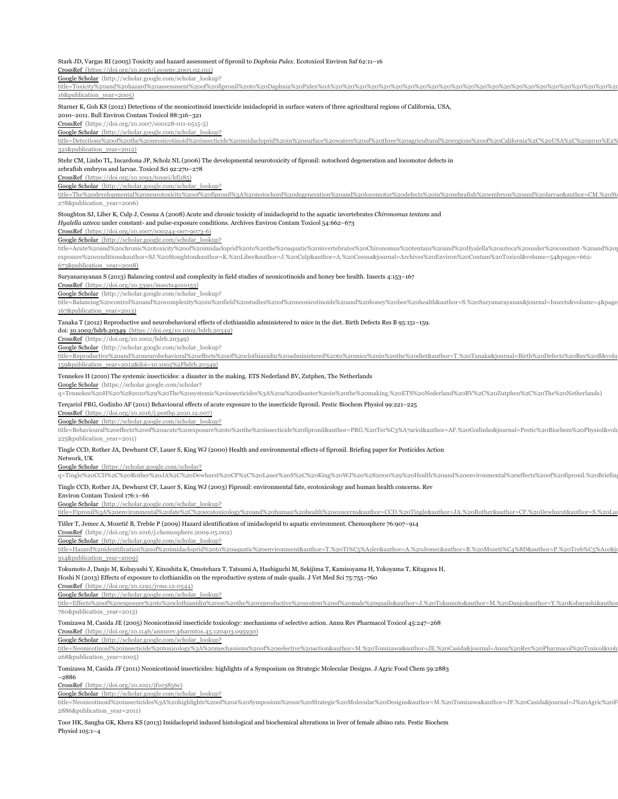### Stark JD, Vargas RI (2005) Toxicity and hazard assessment of fipronil to Daphnia Pulex. Ecotoxicol Environ Saf 62:11–16

CrossRef (https://doi.org/10.1016/j.ecoenv.2005.02.011)

# Google Scholar (http://scholar.google.com/scholar\_lookup?

title=Toxicity%20and%20hazard%20assessment%20of%20fipronil%20to%20Daphnia%20Pulex%0A%20%20%20%20%20%20%20%20%20%20%20%20%20%20%20%20%20%20%20%20%20%20%20%20%20%20%20&author=JD.%20Stark&author=RI.%20Vargas&journal=Ecotoxicol%20Environ%20Saf&volume=62&pages=11- 16&publication\_year=2005)

### Starner K, Goh KS (2012) Detections of the neonicotinoid insecticide imidacloprid in surface waters of three agricultural regions of California, USA,

2010–2011. Bull Environ Contam Toxicol 88:316–321

CrossRef (https://doi.org/10.1007/s00128-011-0515-5)

Google Scholar (http://scholar.google.com/scholar\_lookup?

title=Detections%20of%20the%20neonicotinoid%20insecticide%20imidacloprid%20in%20surface%20waters%20of%20three%20agricultural%20regions%20of%20California%2C%20USA%2C%202010%E2% 321&publication\_year=2012)

Stehr CM, Linbo TL, Incardona JP, Scholz NL (2006) The developmental neurotoxicity of fipronil: notochord degeneration and locomotor defects in

zebrafish embryos and larvae. Toxicol Sci 92:270–278

CrossRef (https://doi.org/10.1093/toxsci/kfj185)

Google Scholar (http://scholar.google.com/scholar\_lookup?

<u>title=The%20developmental%20neurotoxicity%200f%20fipronil%3A%20notochord%20degeneration%20and%20locomotor%20defects%20in%20zebrafish%20embryos%20and%20larvae&author=CM.%20St</u> 278&publication\_year=2006)

Stoughton SJ, Liber K, Culp J, Cessna A (2008) Acute and chronic toxicity of imidacloprid to the aquatic invertebrates Chironomus tentans and

### Hyalella azteca under constant- and pulse-exposure conditions. Archives Environ Contam Toxicol 54:662–673

CrossRef (https://doi.org/10.1007/s00244-007-9073-6)

### ://scholar.google.com/scholar\_looku

title=Acute%20and%20chronic%20toxicity%20of%20imidacloprid%20to%20the%20aquatic%20invertebrates%20Chironomus%20tentans%20and%20Hyalella%20azteca%20under%20constant-%20and%20 exposure%20conditions&author=SJ.%20Stoughton&author=K.%20Liber&author=J.%20Culp&author=A.%20Cessna&journal=Archives%20Environ%20Contam%20Toxicol&volume=54&pages=662- 673&publication\_year=2008)

### Suryanarayanan S (2013) Balancing control and complexity in field studies of neonicotinoids and honey bee health. Insects 4:153–167

CrossRef (https://doi.org/10.3390/insects4010153)

Google Scholar (http://scholar.google.com/scholar\_lookup?

title=Balancing%20control%20and%20complexity%20in%20field%20studies%20of%20neonicotinoids%20and%20honey%20bee%20health&author=S.%20Suryanarayanan&journal=Insects&volume=4&pages=153- 167&publication\_year=2013)

Tanaka T (2012) Reproductive and neurobehavioral effects of clothianidin administered to mice in the diet. Birth Defects Res B 95:151–159.

### doi: 10.1002/bdrb.20349 (https://doi.org/10.1002/bdrb.20349)

CrossRef (https://doi.org/10.1002/bdrb.20349)

Google Scholar (http://scholar.google.com/scholar\_lookup?

title=Reproductive%20and%20neurobehavioral%20effects%20of%20clothianidin%20administered%20to%20mice%20in%20the%20diet&author=T.%20Tanaka&journal=Birth%20Defe 159&publication\_year=2012&doi=10.1002%2Fbdrb.20349)

### Tennekes H (2010) The systemic insecticides: a disaster in the making. ETS Nederland BV, Zutphen, The Netherlands

Google Scholar (https://scholar.google.com/scholar?

q=Tennekes%20H%20%282010%29%20The%20systemic%20insecticides%3A%20a%20disaster%20in%20the%20making.%20ETS%20Nederland%20BV%2C%20Zutphen%2C%20The%20Netherlands)

Terçariol PRG, Godinho AF (2011) Behavioural effects of acute exposure to the insecticide fipronil. Pestic Biochem Physiol 99:221–225

## CrossRef (https://doi.org/10.1016/j.pestbp.2010.12.007)

Google Scholar (http://scholar.google.com/scholar\_lookup?

title=Behavioural%20effects%20of%20acute%20exposure%20to%20the%20insecticide%20fipronil&author=PRG.%20Ter%C3%A7ariol&author=AF.%20Godinho&journal=Pestic%20Biochem%20Physiol&volu 225&publication\_year=2011)

Tingle CCD, Rother JA, Dewhurst CF, Lauer S, King WJ (2000) Health and environmental effects of fipronil. Briefing paper for Pesticides Action

### Network, UK

Google Scholar (https://scholar.google.com/scholar?

q=Tingle%20CCD%2C%20Rother%20JA%2C%20Dewhurst%20CF%2C%20Lauer%20S%2C%20King%20WJ%20%282000%29%20Health%20and%20environmental%20effects%20of%20fipronil.%20Briefin

Tingle CCD, Rother JA, Dewhurst CF, Lauer S, King WJ (2003) Fipronil: environmental fate, ecotoxicology and human health concerns. Rev

### Environ Contam Toxicol 176:1–66

Google Scholar (http://scholar.google.com/scholar\_lookup?

<u>title=Fipronil%3A%20environmental%20fate%2C%20ecotoxicology%20and%20human%20health%20concerns&author=CCD.%20Tingle&author=JA.%20Rother&author=CF.%20Dewhurst&author=S.%20Lau</u>

Tišler T, Jemec A, Mozetič B, Trebše P (2009) Hazard identification of imidacloprid to aquatic environment. Chemosphere 76:907–914

CrossRef (https://doi.org/10.1016/j.chemosphere.2009.05.002)

### Google Scholar (http://scholar.google.com/scholar\_lookup?

title=Hazard%20identification%20of%20imidacloprid%20to%20aquatic%20environment&author=T.%20Ti%C5%A1ler&author=A.%20Jemec&author=B.%20Mozeti%C4%8D&author=P.%20Treb%C5%A1e&j 914&publication\_year=2009)

## Tokumoto J, Danjo M, Kobayashi Y, Kinoshita K, Omotehara T, Tatsumi A, Hashiguchi M, Sekijima T, Kamisoyama H, Yokoyama T, Kitagawa H,

Hoshi N (2013) Effects of exposure to clothianidin on the reproductive system of male quails. J Vet Med Sci 75:755–760

CrossRef (https://doi.org/10.1292/jvms.12-0544)

Google Scholar (http://scholar.google.com/scholar\_lookup?

title=Effects%20of%20exposure%20to%20clothianidin%20on%20the%20reproductive%20system%20of%20male%20quails&author=J.%20Tokumoto&author=M.%20Danjo&autho 760&publication\_year=2013)

Tomizawa M, Casida JE (2005) Neonicotinoid insecticide toxicology: mechanisms of selective action. Annu Rev Pharmacol Toxicol 45:247–268

## CrossRef (https://doi.org/10.1146/annurev.pharmtox.45.120403.095930)

Google Scholar (http://scholar.google.com/scholar\_lookup? title=Neonicotinoid%20insecticide%20toxicology%3A%20mechanisms%20of%20selective%20action&author=M.%20Tomizawa&author=JE.%20Casida&journal=Annu%20Rev%20Pharmacol%20Toxicol&volume=45&pages=247-

268&publication\_year=2005)

Tomizawa M, Casida JF (2011) Neonicotinoid insecticides: highlights of a Symposium on Strategic Molecular Designs. J Agric Food Chem 59:2883

### –2886

CrossRef (https://doi.org/10.1021/jf103856c)

Google Scholar (http://scholar.google.com/scholar\_lookup?

title=Neonicotinoid%20insecticides%3A%20highlights%20of%20a%20Symposium%20on%20Strategic%20Molecular%20Designs&author=M.%20Tomizawa&author=JF.%20Casida&journal=J%20Agric%20F 2886&publication\_year=2011)

Toor HK, Sangha GK, Khera KS (2013) Imidacloprid induced histological and biochemical alterations in liver of female albino rats. Pestic Biochem Physiol 105:1–4